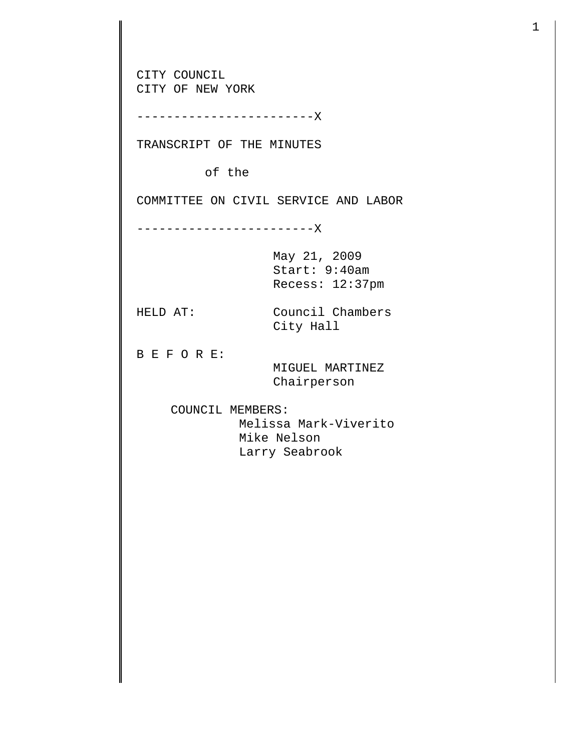CITY COUNCIL CITY OF NEW YORK ------------------------X TRANSCRIPT OF THE MINUTES of the COMMITTEE ON CIVIL SERVICE AND LABOR ------------------------X May 21, 2009 Start: 9:40am Recess: 12:37pm HELD AT: Council Chambers City Hall B E F O R E: MIGUEL MARTINEZ Chairperson COUNCIL MEMBERS: Melissa Mark-Viverito Mike Nelson Larry Seabrook

1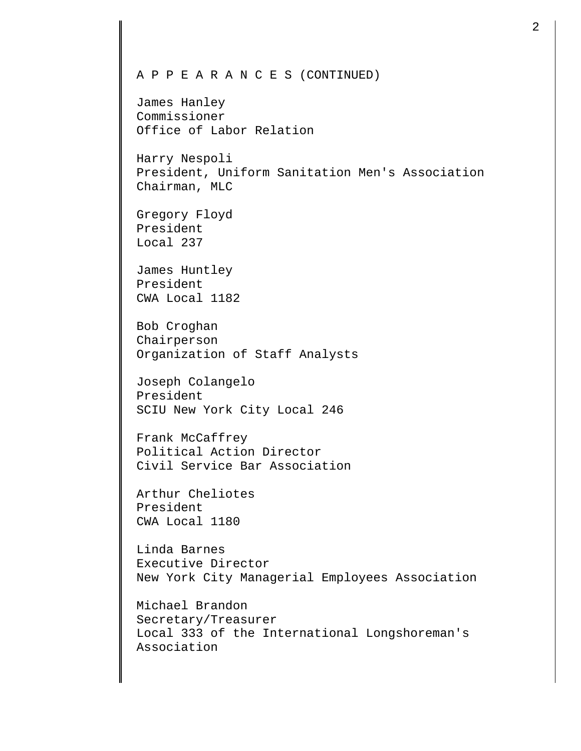## A P P E A R A N C E S (CONTINUED) James Hanley Commissioner Office of Labor Relation Harry Nespoli President, Uniform Sanitation Men's Association Chairman, MLC Gregory Floyd President Local 237 James Huntley President CWA Local 1182 Bob Croghan Chairperson Organization of Staff Analysts Joseph Colangelo President SCIU New York City Local 246 Frank McCaffrey Political Action Director Civil Service Bar Association Arthur Cheliotes President CWA Local 1180 Linda Barnes Executive Director New York City Managerial Employees Association Michael Brandon Secretary/Treasurer Local 333 of the International Longshoreman's

Association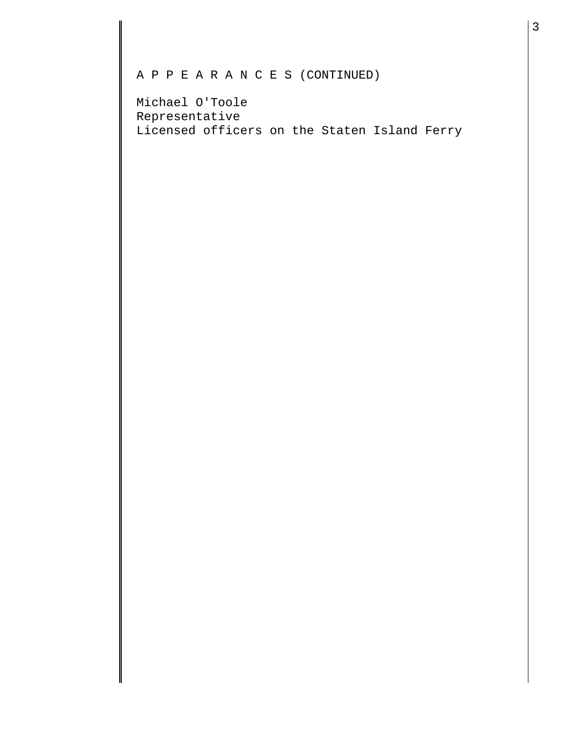## A P P E A R A N C E S (CONTINUED)

Michael O'Toole Representative Licensed officers on the Staten Island Ferry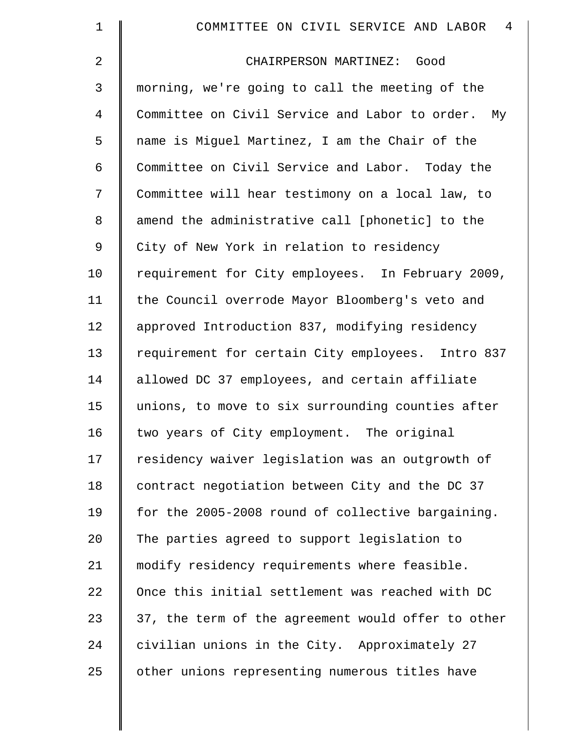| 1  | 4<br>COMMITTEE ON CIVIL SERVICE AND LABOR          |
|----|----------------------------------------------------|
| 2  | CHAIRPERSON MARTINEZ: Good                         |
| 3  | morning, we're going to call the meeting of the    |
| 4  | Committee on Civil Service and Labor to order. My  |
| 5  | name is Miguel Martinez, I am the Chair of the     |
| 6  | Committee on Civil Service and Labor. Today the    |
| 7  | Committee will hear testimony on a local law, to   |
| 8  | amend the administrative call [phonetic] to the    |
| 9  | City of New York in relation to residency          |
| 10 | requirement for City employees. In February 2009,  |
| 11 | the Council overrode Mayor Bloomberg's veto and    |
| 12 | approved Introduction 837, modifying residency     |
| 13 | requirement for certain City employees. Intro 837  |
| 14 | allowed DC 37 employees, and certain affiliate     |
| 15 | unions, to move to six surrounding counties after  |
| 16 | two years of City employment. The original         |
| 17 | residency waiver legislation was an outgrowth of   |
| 18 | contract negotiation between City and the DC 37    |
| 19 | for the 2005-2008 round of collective bargaining.  |
| 20 | The parties agreed to support legislation to       |
| 21 | modify residency requirements where feasible.      |
| 22 | Once this initial settlement was reached with DC   |
| 23 | 37, the term of the agreement would offer to other |
| 24 | civilian unions in the City. Approximately 27      |
| 25 | other unions representing numerous titles have     |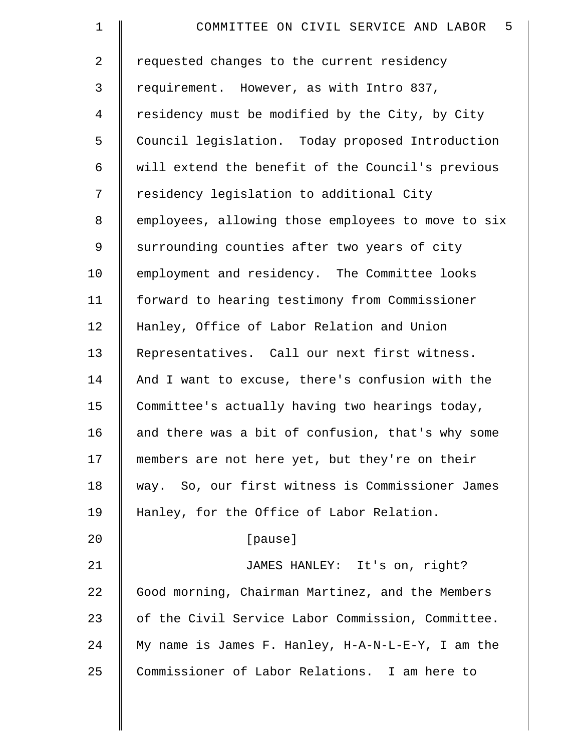| $\mathbf 1$ | COMMITTEE ON CIVIL SERVICE AND LABOR<br>5          |
|-------------|----------------------------------------------------|
| 2           | requested changes to the current residency         |
| 3           | requirement. However, as with Intro 837,           |
| 4           | residency must be modified by the City, by City    |
| 5           | Council legislation. Today proposed Introduction   |
| 6           | will extend the benefit of the Council's previous  |
| 7           | residency legislation to additional City           |
| 8           | employees, allowing those employees to move to six |
| 9           | surrounding counties after two years of city       |
| 10          | employment and residency. The Committee looks      |
| 11          | forward to hearing testimony from Commissioner     |
| 12          | Hanley, Office of Labor Relation and Union         |
| 13          | Representatives. Call our next first witness.      |
| 14          | And I want to excuse, there's confusion with the   |
| 15          | Committee's actually having two hearings today,    |
| 16          | and there was a bit of confusion, that's why some  |
| 17          | members are not here yet, but they're on their     |
| 18          | way. So, our first witness is Commissioner James   |
| 19          | Hanley, for the Office of Labor Relation.          |
| 20          | [pause]                                            |
| 21          | JAMES HANLEY: It's on, right?                      |
| 22          | Good morning, Chairman Martinez, and the Members   |
| 23          | of the Civil Service Labor Commission, Committee.  |
| 24          | My name is James F. Hanley, H-A-N-L-E-Y, I am the  |
| 25          | Commissioner of Labor Relations. I am here to      |
|             |                                                    |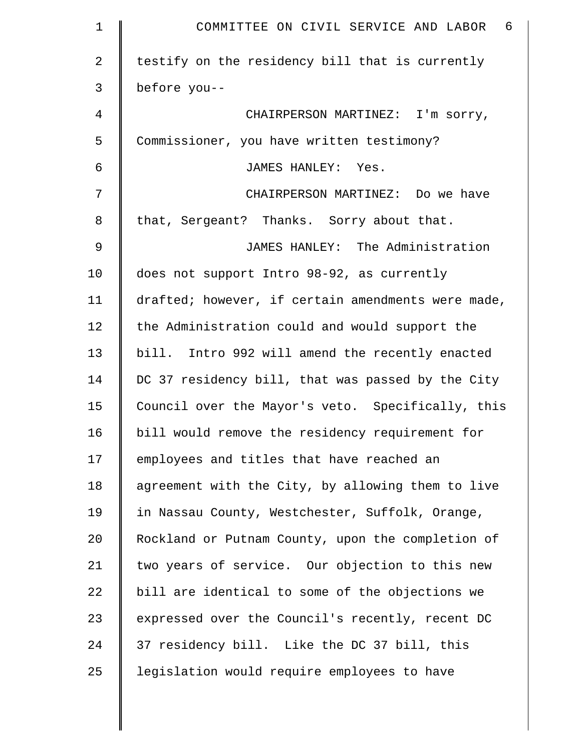| $\mathbf 1$    | COMMITTEE ON CIVIL SERVICE AND LABOR 6             |
|----------------|----------------------------------------------------|
| $\overline{2}$ | testify on the residency bill that is currently    |
| 3              | before you--                                       |
| 4              | CHAIRPERSON MARTINEZ: I'm sorry,                   |
| 5              | Commissioner, you have written testimony?          |
| 6              | JAMES HANLEY: Yes.                                 |
| 7              | CHAIRPERSON MARTINEZ: Do we have                   |
| 8              | that, Sergeant? Thanks. Sorry about that.          |
| 9              | JAMES HANLEY: The Administration                   |
| 10             | does not support Intro 98-92, as currently         |
| 11             | drafted; however, if certain amendments were made, |
| 12             | the Administration could and would support the     |
| 13             | bill. Intro 992 will amend the recently enacted    |
| 14             | DC 37 residency bill, that was passed by the City  |
| 15             | Council over the Mayor's veto. Specifically, this  |
| 16             | bill would remove the residency requirement for    |
| 17             | employees and titles that have reached an          |
| 18             | agreement with the City, by allowing them to live  |
| 19             | in Nassau County, Westchester, Suffolk, Orange,    |
| 20             | Rockland or Putnam County, upon the completion of  |
| 21             | two years of service. Our objection to this new    |
| 22             | bill are identical to some of the objections we    |
| 23             | expressed over the Council's recently, recent DC   |
| 24             | 37 residency bill. Like the DC 37 bill, this       |
| 25             | legislation would require employees to have        |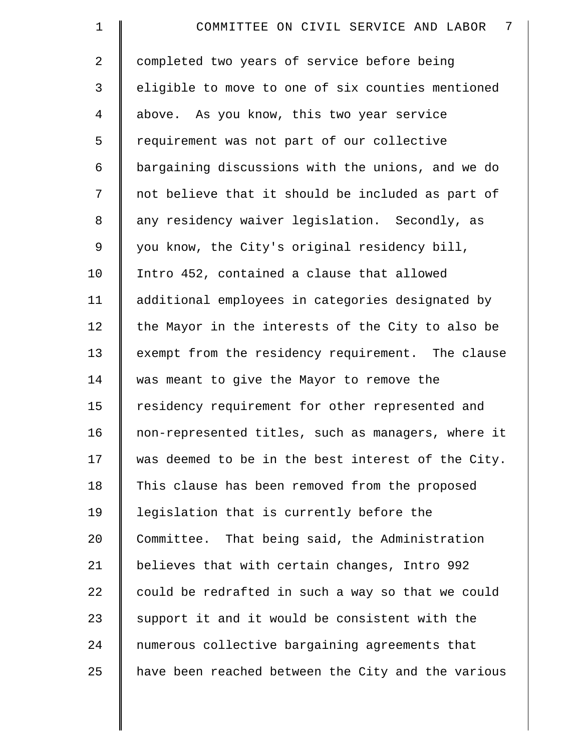| $\mathbf 1$    | 7<br>COMMITTEE ON CIVIL SERVICE AND LABOR          |
|----------------|----------------------------------------------------|
| $\overline{2}$ | completed two years of service before being        |
| 3              | eligible to move to one of six counties mentioned  |
| $\overline{4}$ | above. As you know, this two year service          |
| 5              | requirement was not part of our collective         |
| 6              | bargaining discussions with the unions, and we do  |
| 7              | not believe that it should be included as part of  |
| 8              | any residency waiver legislation. Secondly, as     |
| 9              | you know, the City's original residency bill,      |
| 10             | Intro 452, contained a clause that allowed         |
| 11             | additional employees in categories designated by   |
| 12             | the Mayor in the interests of the City to also be  |
| 13             | exempt from the residency requirement. The clause  |
| 14             | was meant to give the Mayor to remove the          |
| 15             | residency requirement for other represented and    |
| 16             | non-represented titles, such as managers, where it |
| 17             | was deemed to be in the best interest of the City. |
| 18             | This clause has been removed from the proposed     |
| 19             | legislation that is currently before the           |
| 20             | Committee. That being said, the Administration     |
| 21             | believes that with certain changes, Intro 992      |
| 22             | could be redrafted in such a way so that we could  |
| 23             | support it and it would be consistent with the     |
| 24             | numerous collective bargaining agreements that     |
| 25             | have been reached between the City and the various |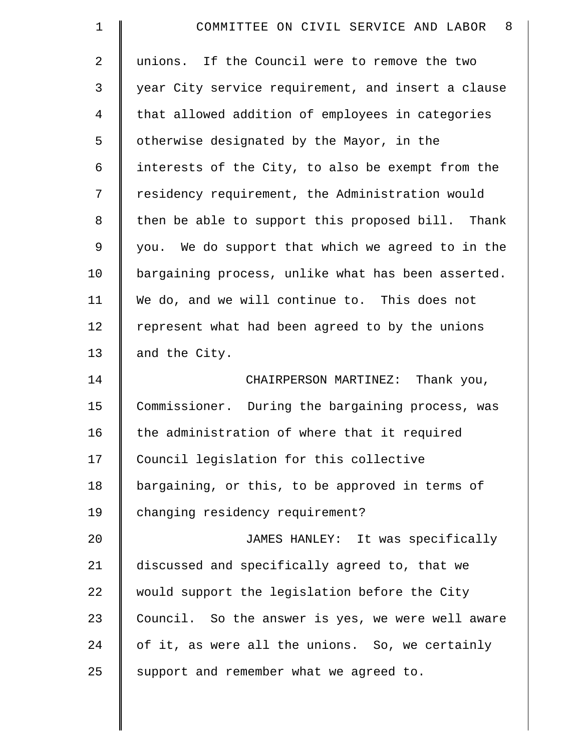| $\mathbf 1$    | -8<br>COMMITTEE ON CIVIL SERVICE AND LABOR         |
|----------------|----------------------------------------------------|
| $\overline{a}$ | unions. If the Council were to remove the two      |
| 3              | year City service requirement, and insert a clause |
| $\overline{4}$ | that allowed addition of employees in categories   |
| 5              | otherwise designated by the Mayor, in the          |
| 6              | interests of the City, to also be exempt from the  |
| 7              | residency requirement, the Administration would    |
| 8              | then be able to support this proposed bill. Thank  |
| 9              | you. We do support that which we agreed to in the  |
| 10             | bargaining process, unlike what has been asserted. |
| 11             | We do, and we will continue to. This does not      |
| 12             | represent what had been agreed to by the unions    |
| 13             | and the City.                                      |
| 14             | CHAIRPERSON MARTINEZ: Thank you,                   |
| 15             | Commissioner. During the bargaining process, was   |
| 16             | the administration of where that it required       |
| 17             | Council legislation for this collective            |
| 18             | bargaining, or this, to be approved in terms of    |
| 19             | changing residency requirement?                    |
| 20             | JAMES HANLEY: It was specifically                  |
| 21             | discussed and specifically agreed to, that we      |
| 22             | would support the legislation before the City      |
| 23             | Council. So the answer is yes, we were well aware  |
| 24             | of it, as were all the unions. So, we certainly    |
| 25             | support and remember what we agreed to.            |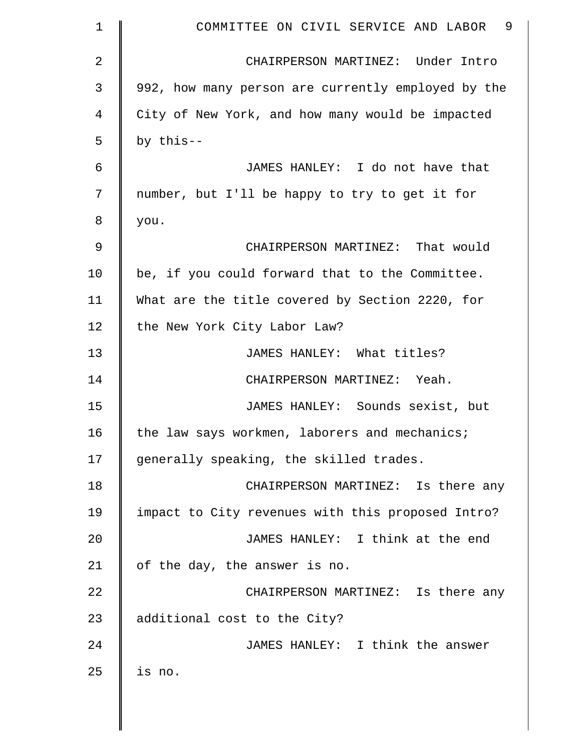| $\mathbf 1$    | COMMITTEE ON CIVIL SERVICE AND LABOR 9             |
|----------------|----------------------------------------------------|
| $\overline{a}$ | CHAIRPERSON MARTINEZ: Under Intro                  |
| 3              | 992, how many person are currently employed by the |
| 4              | City of New York, and how many would be impacted   |
| 5              | by this--                                          |
| 6              | JAMES HANLEY: I do not have that                   |
| 7              | number, but I'll be happy to try to get it for     |
| 8              | you.                                               |
| 9              | CHAIRPERSON MARTINEZ: That would                   |
| 10             | be, if you could forward that to the Committee.    |
| 11             | What are the title covered by Section 2220, for    |
| 12             | the New York City Labor Law?                       |
| 13             | JAMES HANLEY: What titles?                         |
| 14             | CHAIRPERSON MARTINEZ: Yeah.                        |
| 15             | JAMES HANLEY: Sounds sexist, but                   |
| 16             | the law says workmen, laborers and mechanics;      |
| 17             | generally speaking, the skilled trades.            |
| 18             | CHAIRPERSON MARTINEZ: Is there any                 |
| 19             | impact to City revenues with this proposed Intro?  |
| 20             | JAMES HANLEY: I think at the end                   |
| 21             | of the day, the answer is no.                      |
| 22             | CHAIRPERSON MARTINEZ: Is there any                 |
| 23             | additional cost to the City?                       |
| 24             | JAMES HANLEY: I think the answer                   |
| 25             | is no.                                             |
|                |                                                    |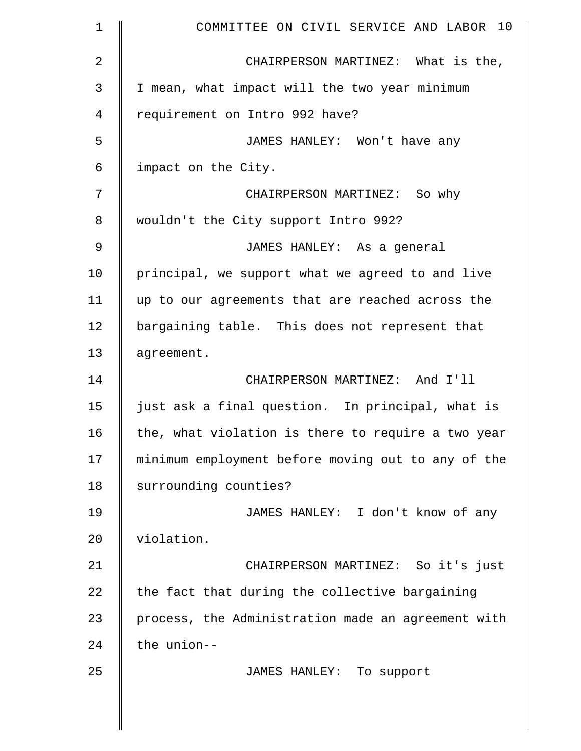| $\mathbf 1$    | COMMITTEE ON CIVIL SERVICE AND LABOR 10            |
|----------------|----------------------------------------------------|
| $\overline{2}$ | CHAIRPERSON MARTINEZ: What is the,                 |
| 3              | I mean, what impact will the two year minimum      |
| $\overline{4}$ | requirement on Intro 992 have?                     |
| 5              | JAMES HANLEY: Won't have any                       |
| $\epsilon$     | impact on the City.                                |
| 7              | CHAIRPERSON MARTINEZ: So why                       |
| 8              | wouldn't the City support Intro 992?               |
| 9              | JAMES HANLEY: As a general                         |
| 10             | principal, we support what we agreed to and live   |
| 11             | up to our agreements that are reached across the   |
| 12             | bargaining table. This does not represent that     |
| 13             | agreement.                                         |
| 14             | CHAIRPERSON MARTINEZ: And I'll                     |
| 15             | just ask a final question. In principal, what is   |
| 16             | the, what violation is there to require a two year |
| 17             | minimum employment before moving out to any of the |
| 18             | surrounding counties?                              |
| 19             | JAMES HANLEY: I don't know of any                  |
| 20             | violation.                                         |
| 21             | CHAIRPERSON MARTINEZ: So it's just                 |
| 22             | the fact that during the collective bargaining     |
| 23             | process, the Administration made an agreement with |
| 24             | the union--                                        |
| 25             | JAMES HANLEY: To support                           |
|                |                                                    |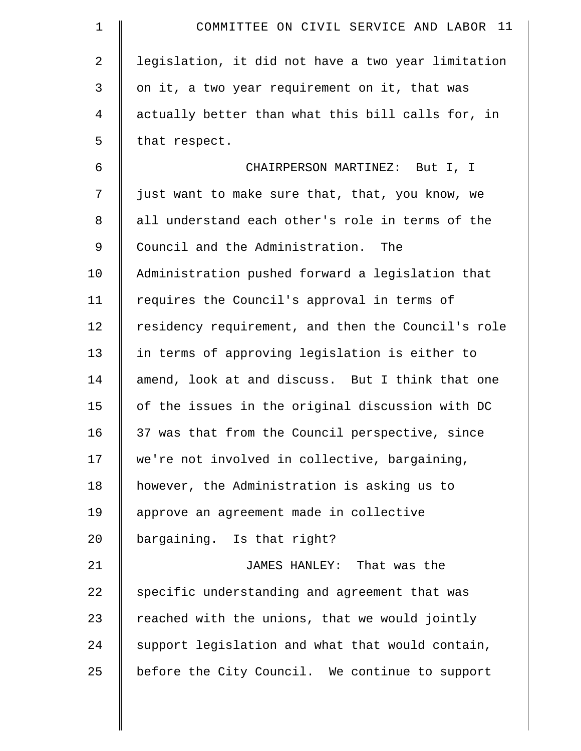| $\mathbf 1$    | COMMITTEE ON CIVIL SERVICE AND LABOR 11            |
|----------------|----------------------------------------------------|
| $\overline{2}$ | legislation, it did not have a two year limitation |
| 3              | on it, a two year requirement on it, that was      |
| 4              | actually better than what this bill calls for, in  |
| 5              | that respect.                                      |
| 6              | CHAIRPERSON MARTINEZ: But I, I                     |
| 7              | just want to make sure that, that, you know, we    |
| $\,8\,$        | all understand each other's role in terms of the   |
| 9              | Council and the Administration. The                |
| 10             | Administration pushed forward a legislation that   |
| 11             | requires the Council's approval in terms of        |
| 12             | residency requirement, and then the Council's role |
| 13             | in terms of approving legislation is either to     |
| 14             | amend, look at and discuss. But I think that one   |
| 15             | of the issues in the original discussion with DC   |
| 16             | 37 was that from the Council perspective, since    |
| 17             | we're not involved in collective, bargaining,      |
| 18             | however, the Administration is asking us to        |
| 19             | approve an agreement made in collective            |
| 20             | bargaining. Is that right?                         |
| 21             | JAMES HANLEY: That was the                         |
| 22             | specific understanding and agreement that was      |
| 23             | reached with the unions, that we would jointly     |
| 24             | support legislation and what that would contain,   |
| 25             | before the City Council. We continue to support    |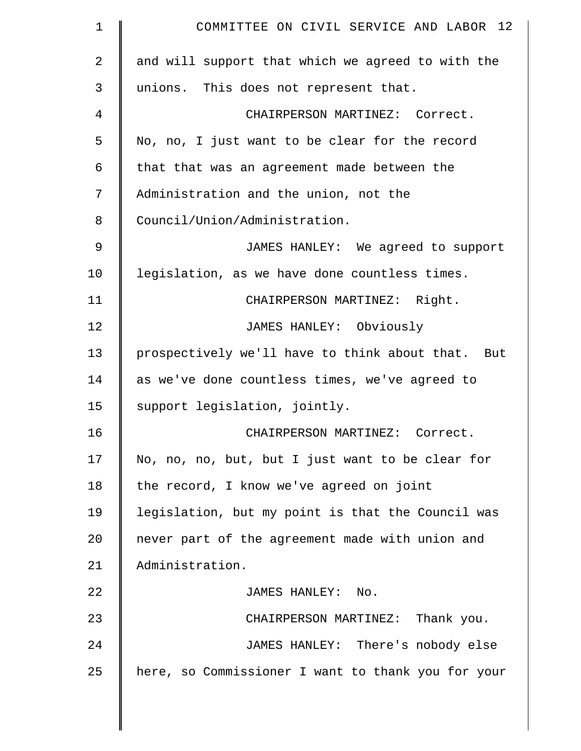| COMMITTEE ON CIVIL SERVICE AND LABOR 12            |
|----------------------------------------------------|
| and will support that which we agreed to with the  |
| unions. This does not represent that.              |
| CHAIRPERSON MARTINEZ: Correct.                     |
| No, no, I just want to be clear for the record     |
| that that was an agreement made between the        |
| Administration and the union, not the              |
| Council/Union/Administration.                      |
| JAMES HANLEY: We agreed to support                 |
| legislation, as we have done countless times.      |
| CHAIRPERSON MARTINEZ: Right.                       |
| JAMES HANLEY: Obviously                            |
| prospectively we'll have to think about that. But  |
| as we've done countless times, we've agreed to     |
| support legislation, jointly.                      |
| CHAIRPERSON MARTINEZ: Correct.                     |
| No, no, no, but, but I just want to be clear for   |
| the record, I know we've agreed on joint           |
| legislation, but my point is that the Council was  |
| never part of the agreement made with union and    |
| Administration.                                    |
| JAMES HANLEY: No.                                  |
| CHAIRPERSON MARTINEZ: Thank you.                   |
| JAMES HANLEY: There's nobody else                  |
| here, so Commissioner I want to thank you for your |
|                                                    |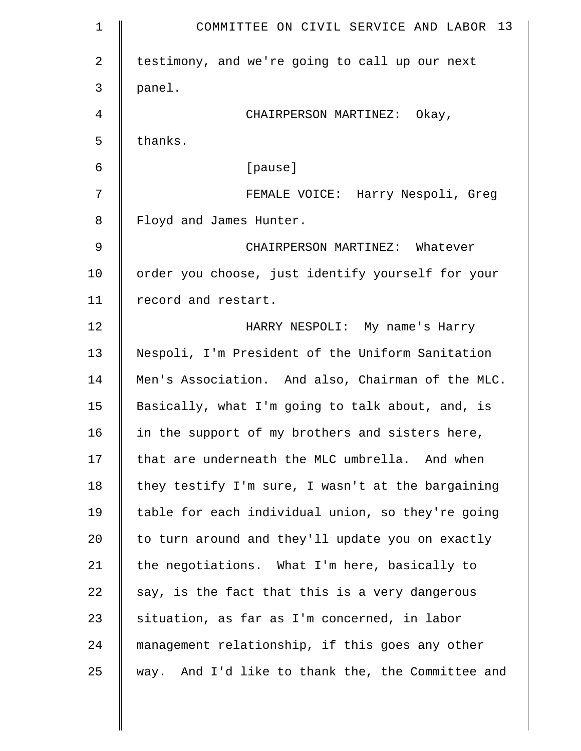| $\mathbf 1$ | COMMITTEE ON CIVIL SERVICE AND LABOR 13              |
|-------------|------------------------------------------------------|
| 2           | testimony, and we're going to call up our next       |
| 3           | panel.                                               |
| 4           | CHAIRPERSON MARTINEZ: Okay,                          |
| 5           | thanks.                                              |
| 6           | [pause]                                              |
| 7           | FEMALE VOICE: Harry Nespoli, Greg                    |
| 8           | Floyd and James Hunter.                              |
| 9           | CHAIRPERSON MARTINEZ: Whatever                       |
| 10          | order you choose, just identify yourself for your    |
| 11          | record and restart.                                  |
| 12          | HARRY NESPOLI: My name's Harry                       |
| 13          | Nespoli, I'm President of the Uniform Sanitation     |
| 14          | Men's Association. And also, Chairman of the MLC.    |
| 15          | Basically, what I'm going to talk about, and, is     |
| 16          | in the support of my brothers and sisters here,      |
| 17          | that are underneath the MLC umbrella. And when       |
| 18          | they testify I'm sure, I wasn't at the bargaining    |
| 19          | table for each individual union, so they're going    |
| 20          | to turn around and they'll update you on exactly     |
| 21          | the negotiations. What I'm here, basically to        |
| 22          | say, is the fact that this is a very dangerous       |
| 23          | situation, as far as I'm concerned, in labor         |
| 24          | management relationship, if this goes any other      |
| 25          | And I'd like to thank the, the Committee and<br>way. |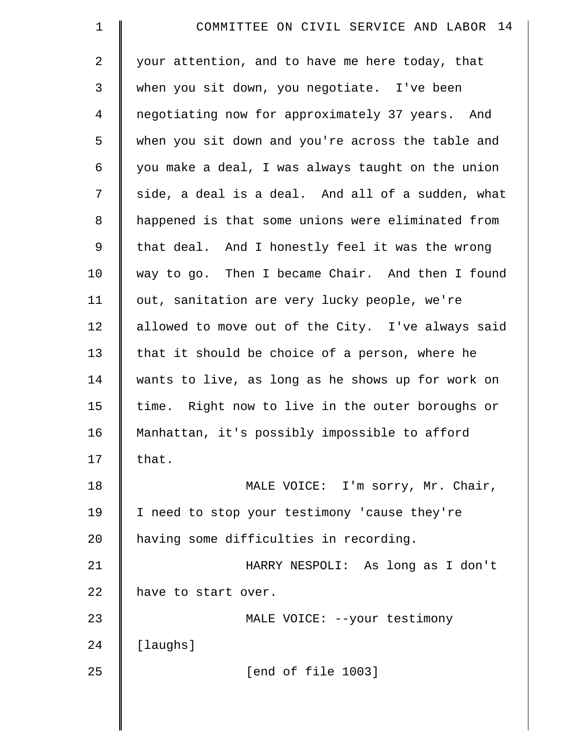| $\mathbf 1$    | COMMITTEE ON CIVIL SERVICE AND LABOR 14           |
|----------------|---------------------------------------------------|
| 2              | your attention, and to have me here today, that   |
| 3              | when you sit down, you negotiate. I've been       |
| $\overline{4}$ | negotiating now for approximately 37 years. And   |
| 5              | when you sit down and you're across the table and |
| 6              | you make a deal, I was always taught on the union |
| 7              | side, a deal is a deal. And all of a sudden, what |
| 8              | happened is that some unions were eliminated from |
| 9              | that deal. And I honestly feel it was the wrong   |
| 10             | way to go. Then I became Chair. And then I found  |
| 11             | out, sanitation are very lucky people, we're      |
| 12             | allowed to move out of the City. I've always said |
| 13             | that it should be choice of a person, where he    |
| 14             | wants to live, as long as he shows up for work on |
| 15             | time. Right now to live in the outer boroughs or  |
| 16             | Manhattan, it's possibly impossible to afford     |
| 17             | that.                                             |
| 18             | MALE VOICE: I'm sorry, Mr. Chair,                 |
| 19             | I need to stop your testimony 'cause they're      |
| 20             | having some difficulties in recording.            |
| 21             | HARRY NESPOLI: As long as I don't                 |
| 22             | have to start over.                               |
| 23             | MALE VOICE: --your testimony                      |
| 24             | [laughs]                                          |
| 25             | [end of file 1003]                                |
|                |                                                   |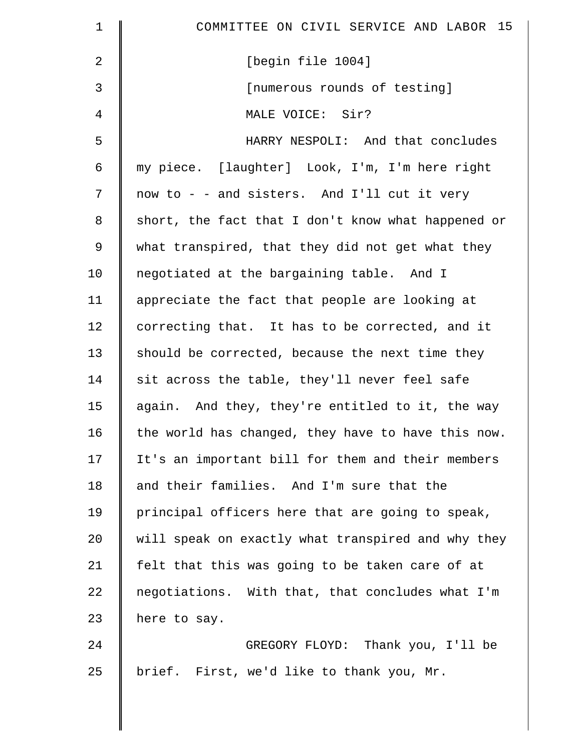| $\mathbf 1$    | COMMITTEE ON CIVIL SERVICE AND LABOR 15            |
|----------------|----------------------------------------------------|
| $\overline{2}$ | [begin file 1004]                                  |
| 3              | [numerous rounds of testing]                       |
| 4              | MALE VOICE: Sir?                                   |
| 5              | HARRY NESPOLI: And that concludes                  |
| 6              | my piece. [laughter] Look, I'm, I'm here right     |
| 7              | now to - - and sisters. And I'll cut it very       |
| $\,8\,$        | short, the fact that I don't know what happened or |
| 9              | what transpired, that they did not get what they   |
| 10             | negotiated at the bargaining table. And I          |
| 11             | appreciate the fact that people are looking at     |
| 12             | correcting that. It has to be corrected, and it    |
| 13             | should be corrected, because the next time they    |
| 14             | sit across the table, they'll never feel safe      |
| 15             | again. And they, they're entitled to it, the way   |
| 16             | the world has changed, they have to have this now. |
| 17             | It's an important bill for them and their members  |
| 18             | and their families. And I'm sure that the          |
| 19             | principal officers here that are going to speak,   |
| 20             | will speak on exactly what transpired and why they |
| 21             | felt that this was going to be taken care of at    |
| 22             | negotiations. With that, that concludes what I'm   |
| 23             | here to say.                                       |
| 24             | GREGORY FLOYD: Thank you, I'll be                  |
| 25             | brief. First, we'd like to thank you, Mr.          |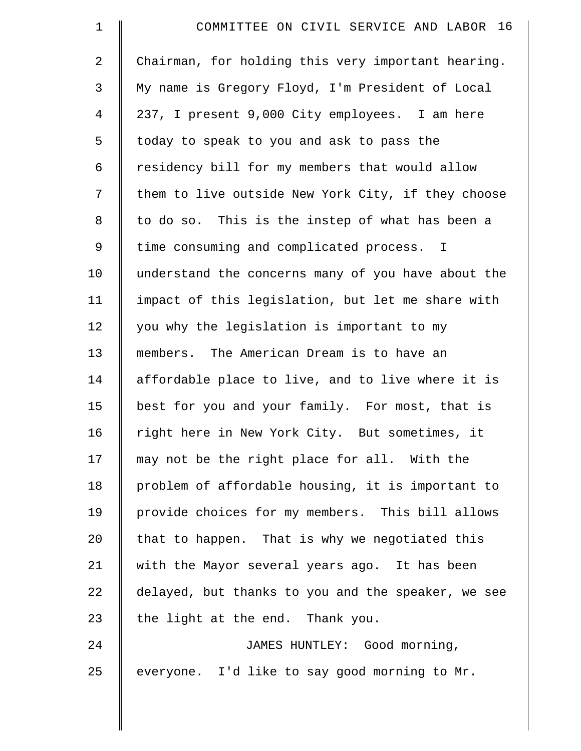| $\mathbf 1$    | COMMITTEE ON CIVIL SERVICE AND LABOR 16            |
|----------------|----------------------------------------------------|
| $\overline{2}$ | Chairman, for holding this very important hearing. |
| 3              | My name is Gregory Floyd, I'm President of Local   |
| $\overline{4}$ | 237, I present 9,000 City employees. I am here     |
| 5              | today to speak to you and ask to pass the          |
| 6              | residency bill for my members that would allow     |
| 7              | them to live outside New York City, if they choose |
| 8              | to do so. This is the instep of what has been a    |
| 9              | time consuming and complicated process. I          |
| 10             | understand the concerns many of you have about the |
| 11             | impact of this legislation, but let me share with  |
| 12             | you why the legislation is important to my         |
| 13             | members. The American Dream is to have an          |
| 14             | affordable place to live, and to live where it is  |
| 15             | best for you and your family. For most, that is    |
| 16             | right here in New York City. But sometimes, it     |
| 17             | may not be the right place for all. With the       |
| 18             | problem of affordable housing, it is important to  |
| 19             | provide choices for my members. This bill allows   |
| 20             | that to happen. That is why we negotiated this     |
| 21             | with the Mayor several years ago. It has been      |
| 22             | delayed, but thanks to you and the speaker, we see |
| 23             | the light at the end. Thank you.                   |
| 24             | JAMES HUNTLEY: Good morning,                       |
| 25             | everyone. I'd like to say good morning to Mr.      |
|                |                                                    |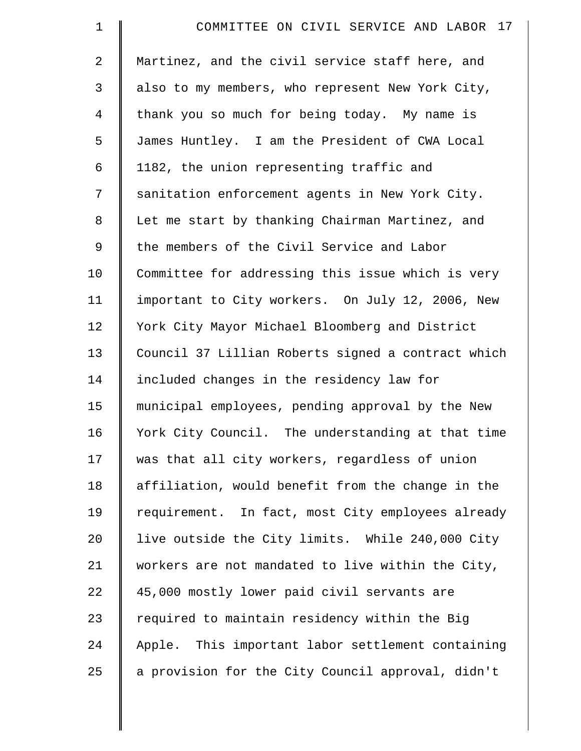| $\mathbf 1$    | COMMITTEE ON CIVIL SERVICE AND LABOR 17            |
|----------------|----------------------------------------------------|
| $\overline{2}$ | Martinez, and the civil service staff here, and    |
| 3              | also to my members, who represent New York City,   |
| $\overline{4}$ | thank you so much for being today. My name is      |
| 5              | James Huntley. I am the President of CWA Local     |
| 6              | 1182, the union representing traffic and           |
| 7              | sanitation enforcement agents in New York City.    |
| 8              | Let me start by thanking Chairman Martinez, and    |
| 9              | the members of the Civil Service and Labor         |
| 10             | Committee for addressing this issue which is very  |
| 11             | important to City workers. On July 12, 2006, New   |
| 12             | York City Mayor Michael Bloomberg and District     |
| 13             | Council 37 Lillian Roberts signed a contract which |
| 14             | included changes in the residency law for          |
| 15             | municipal employees, pending approval by the New   |
| 16             | York City Council. The understanding at that time  |
| 17             | was that all city workers, regardless of union     |
| 18             | affiliation, would benefit from the change in the  |
| 19             | requirement. In fact, most City employees already  |
| 20             | live outside the City limits. While 240,000 City   |
| 21             | workers are not mandated to live within the City,  |
| 22             | 45,000 mostly lower paid civil servants are        |
| 23             | required to maintain residency within the Big      |
| 24             | Apple. This important labor settlement containing  |
| 25             | a provision for the City Council approval, didn't  |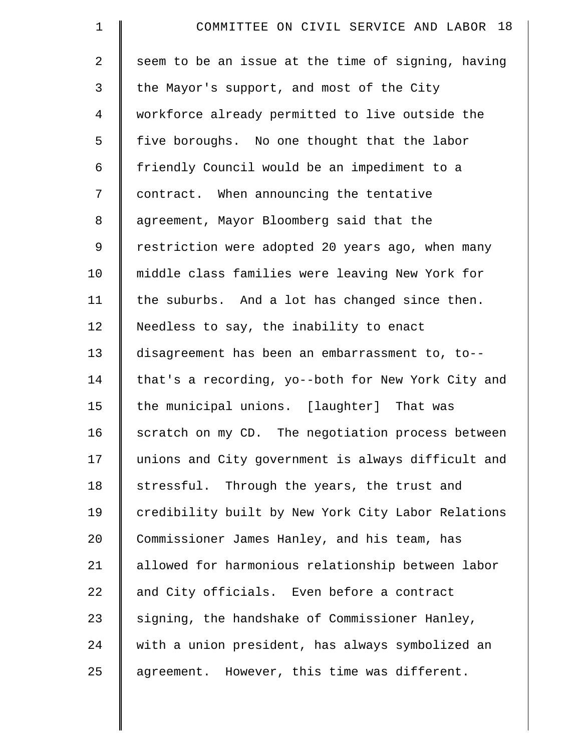| $\mathbf 1$    | COMMITTEE ON CIVIL SERVICE AND LABOR 18            |
|----------------|----------------------------------------------------|
| $\overline{a}$ | seem to be an issue at the time of signing, having |
| 3              | the Mayor's support, and most of the City          |
| $\overline{4}$ | workforce already permitted to live outside the    |
| 5              | five boroughs. No one thought that the labor       |
| 6              | friendly Council would be an impediment to a       |
| 7              | contract. When announcing the tentative            |
| 8              | agreement, Mayor Bloomberg said that the           |
| 9              | restriction were adopted 20 years ago, when many   |
| 10             | middle class families were leaving New York for    |
| 11             | the suburbs. And a lot has changed since then.     |
| 12             | Needless to say, the inability to enact            |
| 13             | disagreement has been an embarrassment to, to--    |
| 14             | that's a recording, yo--both for New York City and |
| 15             | the municipal unions. [laughter] That was          |
| 16             | scratch on my CD. The negotiation process between  |
| 17             | unions and City government is always difficult and |
| 18             | stressful. Through the years, the trust and        |
| 19             | credibility built by New York City Labor Relations |
| 20             | Commissioner James Hanley, and his team, has       |
| 21             | allowed for harmonious relationship between labor  |
| 22             | and City officials. Even before a contract         |
| 23             | signing, the handshake of Commissioner Hanley,     |
| 24             | with a union president, has always symbolized an   |
| 25             | agreement. However, this time was different.       |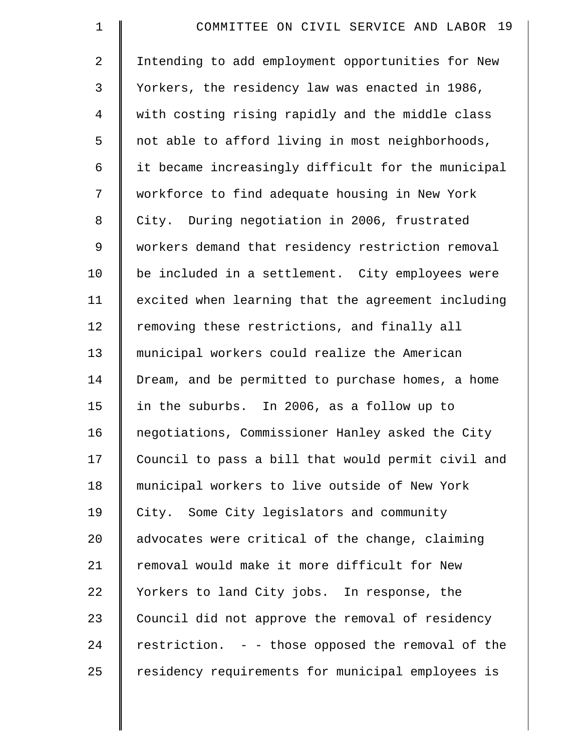| $\mathbf 1$    | COMMITTEE ON CIVIL SERVICE AND LABOR 19            |
|----------------|----------------------------------------------------|
| $\overline{a}$ | Intending to add employment opportunities for New  |
| 3              | Yorkers, the residency law was enacted in 1986,    |
| 4              | with costing rising rapidly and the middle class   |
| 5              | not able to afford living in most neighborhoods,   |
| 6              | it became increasingly difficult for the municipal |
| 7              | workforce to find adequate housing in New York     |
| 8              | City. During negotiation in 2006, frustrated       |
| 9              | workers demand that residency restriction removal  |
| 10             | be included in a settlement. City employees were   |
| 11             | excited when learning that the agreement including |
| 12             | removing these restrictions, and finally all       |
| 13             | municipal workers could realize the American       |
| 14             | Dream, and be permitted to purchase homes, a home  |
| 15             | in the suburbs. In 2006, as a follow up to         |
| 16             | negotiations, Commissioner Hanley asked the City   |
| 17             | Council to pass a bill that would permit civil and |
| 18             | municipal workers to live outside of New York      |
| 19             | City. Some City legislators and community          |
| 20             | advocates were critical of the change, claiming    |
| 21             | removal would make it more difficult for New       |
| 22             | Yorkers to land City jobs. In response, the        |
| 23             | Council did not approve the removal of residency   |
| 24             | restriction. - - those opposed the removal of the  |
| 25             | residency requirements for municipal employees is  |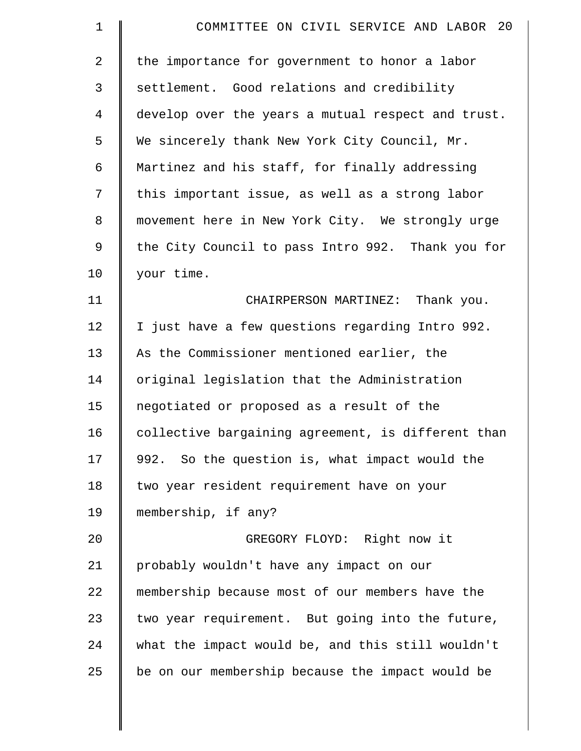| $\mathbf 1$    | COMMITTEE ON CIVIL SERVICE AND LABOR 20            |
|----------------|----------------------------------------------------|
| $\overline{2}$ | the importance for government to honor a labor     |
| 3              | settlement. Good relations and credibility         |
| $\overline{4}$ | develop over the years a mutual respect and trust. |
| 5              | We sincerely thank New York City Council, Mr.      |
| 6              | Martinez and his staff, for finally addressing     |
| 7              | this important issue, as well as a strong labor    |
| 8              | movement here in New York City. We strongly urge   |
| 9              | the City Council to pass Intro 992. Thank you for  |
| 10             | your time.                                         |
| 11             | CHAIRPERSON MARTINEZ: Thank you.                   |
| 12             | I just have a few questions regarding Intro 992.   |
| 13             | As the Commissioner mentioned earlier, the         |
| 14             | original legislation that the Administration       |
| 15             | negotiated or proposed as a result of the          |
| 16             | collective bargaining agreement, is different than |
| 17             | 992. So the question is, what impact would the     |
| 18             | two year resident requirement have on your         |
| 19             | membership, if any?                                |
| 20             | GREGORY FLOYD: Right now it                        |
| 21             | probably wouldn't have any impact on our           |
| 22             | membership because most of our members have the    |
| 23             | two year requirement. But going into the future,   |
| 24             | what the impact would be, and this still wouldn't  |
| 25             | be on our membership because the impact would be   |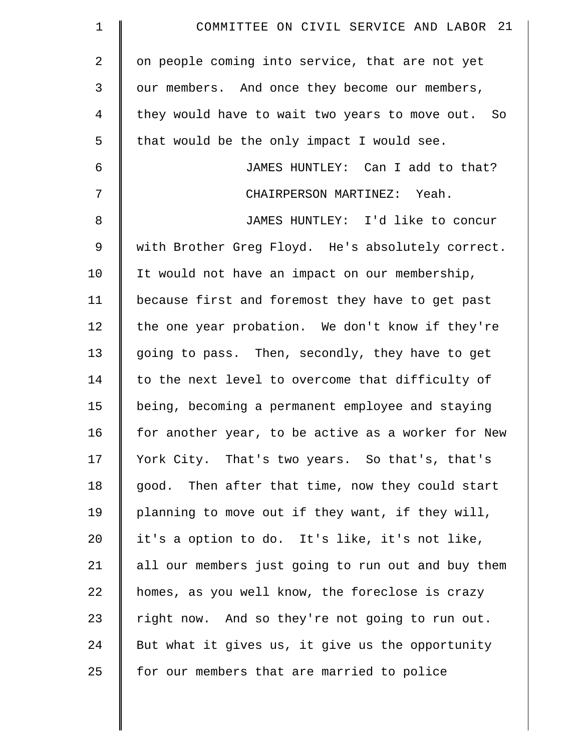| $\mathbf 1$    | COMMITTEE ON CIVIL SERVICE AND LABOR 21            |
|----------------|----------------------------------------------------|
| $\overline{2}$ | on people coming into service, that are not yet    |
| 3              | our members. And once they become our members,     |
| 4              | they would have to wait two years to move out. So  |
| 5              | that would be the only impact I would see.         |
| 6              | JAMES HUNTLEY: Can I add to that?                  |
| 7              | CHAIRPERSON MARTINEZ: Yeah.                        |
| 8              | JAMES HUNTLEY: I'd like to concur                  |
| 9              | with Brother Greg Floyd. He's absolutely correct.  |
| 10             | It would not have an impact on our membership,     |
| 11             | because first and foremost they have to get past   |
| 12             | the one year probation. We don't know if they're   |
| 13             | going to pass. Then, secondly, they have to get    |
| 14             | to the next level to overcome that difficulty of   |
| 15             | being, becoming a permanent employee and staying   |
| 16             | for another year, to be active as a worker for New |
| 17             | York City. That's two years. So that's, that's     |
| 18             | good. Then after that time, now they could start   |
| 19             | planning to move out if they want, if they will,   |
| 20             | it's a option to do. It's like, it's not like,     |
| 21             | all our members just going to run out and buy them |
| 22             | homes, as you well know, the foreclose is crazy    |
| 23             | right now. And so they're not going to run out.    |
| 24             | But what it gives us, it give us the opportunity   |
| 25             | for our members that are married to police         |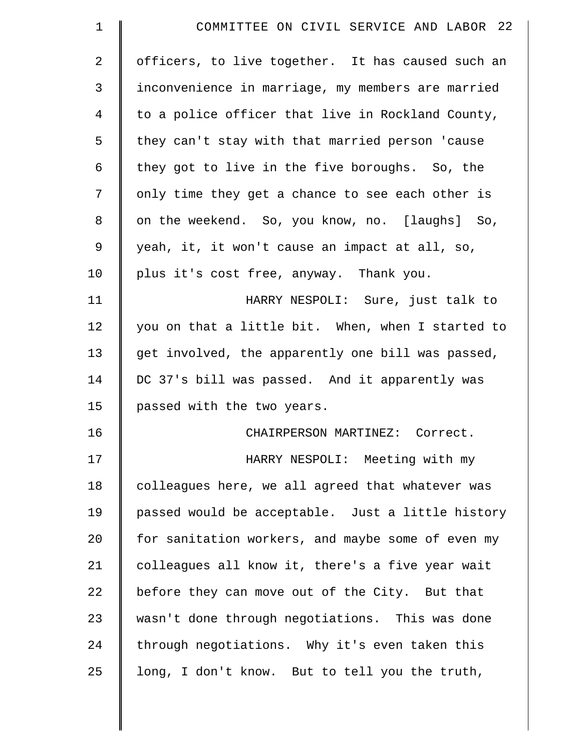| $\mathbf 1$    | COMMITTEE ON CIVIL SERVICE AND LABOR 22           |
|----------------|---------------------------------------------------|
| $\overline{2}$ | officers, to live together. It has caused such an |
| 3              | inconvenience in marriage, my members are married |
| 4              | to a police officer that live in Rockland County, |
| 5              | they can't stay with that married person 'cause   |
| 6              | they got to live in the five boroughs. So, the    |
| 7              | only time they get a chance to see each other is  |
| 8              | on the weekend. So, you know, no. [laughs] So,    |
| $\mathsf 9$    | yeah, it, it won't cause an impact at all, so,    |
| 10             | plus it's cost free, anyway. Thank you.           |
| 11             | HARRY NESPOLI: Sure, just talk to                 |
| 12             | you on that a little bit. When, when I started to |
| 13             | get involved, the apparently one bill was passed, |
| 14             | DC 37's bill was passed. And it apparently was    |
| 15             | passed with the two years.                        |
| 16             | CHAIRPERSON MARTINEZ: Correct.                    |
| 17             | HARRY NESPOLI: Meeting with my                    |
| 18             | colleagues here, we all agreed that whatever was  |
| 19             | passed would be acceptable. Just a little history |
| 20             | for sanitation workers, and maybe some of even my |
| 21             | colleagues all know it, there's a five year wait  |
| 22             | before they can move out of the City. But that    |
| 23             | wasn't done through negotiations. This was done   |
| 24             | through negotiations. Why it's even taken this    |
| 25             | long, I don't know. But to tell you the truth,    |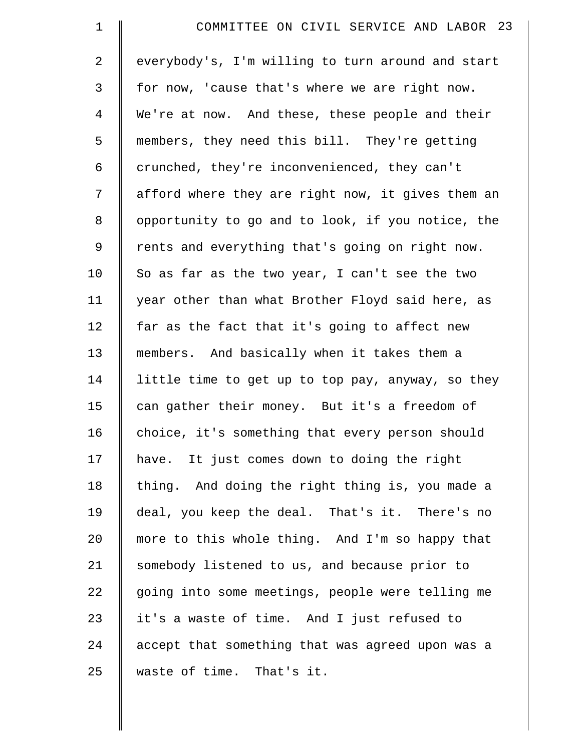| $\mathbf 1$    | COMMITTEE ON CIVIL SERVICE AND LABOR 23           |
|----------------|---------------------------------------------------|
| $\overline{2}$ | everybody's, I'm willing to turn around and start |
| 3              | for now, 'cause that's where we are right now.    |
| $\overline{4}$ | We're at now. And these, these people and their   |
| 5              | members, they need this bill. They're getting     |
| 6              | crunched, they're inconvenienced, they can't      |
| 7              | afford where they are right now, it gives them an |
| 8              | opportunity to go and to look, if you notice, the |
| 9              | rents and everything that's going on right now.   |
| 10             | So as far as the two year, I can't see the two    |
| 11             | year other than what Brother Floyd said here, as  |
| 12             | far as the fact that it's going to affect new     |
| 13             | members. And basically when it takes them a       |
| 14             | little time to get up to top pay, anyway, so they |
| 15             | can gather their money. But it's a freedom of     |
| 16             | choice, it's something that every person should   |
| 17             | have. It just comes down to doing the right       |
| 18             | thing. And doing the right thing is, you made a   |
| 19             | deal, you keep the deal. That's it. There's no    |
| 20             | more to this whole thing. And I'm so happy that   |
| 21             | somebody listened to us, and because prior to     |
| 22             | going into some meetings, people were telling me  |
| 23             | it's a waste of time. And I just refused to       |
| 24             | accept that something that was agreed upon was a  |
| 25             | waste of time. That's it.                         |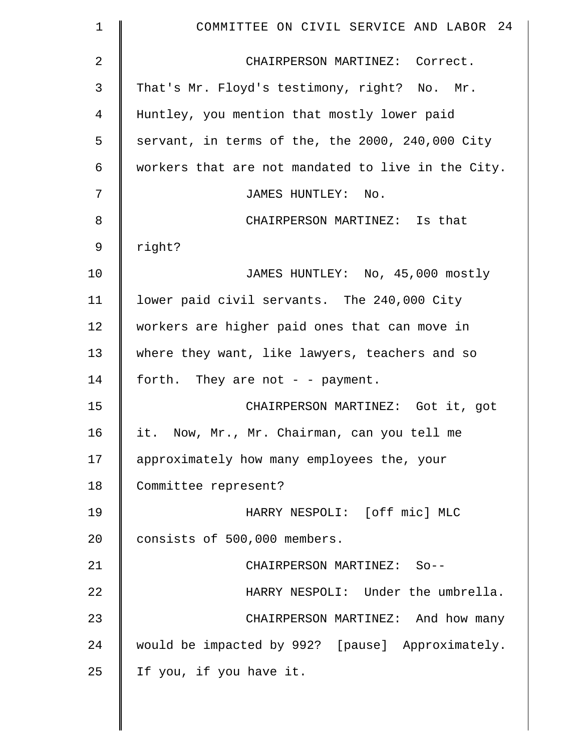| $\mathbf 1$  | COMMITTEE ON CIVIL SERVICE AND LABOR 24            |
|--------------|----------------------------------------------------|
| $\mathbf{2}$ | CHAIRPERSON MARTINEZ: Correct.                     |
| 3            | That's Mr. Floyd's testimony, right? No. Mr.       |
| 4            | Huntley, you mention that mostly lower paid        |
| 5            | servant, in terms of the, the 2000, 240,000 City   |
| 6            | workers that are not mandated to live in the City. |
| 7            | JAMES HUNTLEY: No.                                 |
| 8            | CHAIRPERSON MARTINEZ: Is that                      |
| 9            | right?                                             |
| 10           | JAMES HUNTLEY: No, 45,000 mostly                   |
| 11           | lower paid civil servants. The 240,000 City        |
| 12           | workers are higher paid ones that can move in      |
| 13           | where they want, like lawyers, teachers and so     |
| 14           | forth. They are not - - payment.                   |
| 15           | CHAIRPERSON MARTINEZ: Got it, got                  |
| 16           | it. Now, Mr., Mr. Chairman, can you tell me        |
| 17           | approximately how many employees the, your         |
| 18           | Committee represent?                               |
| 19           | HARRY NESPOLI: [off mic] MLC                       |
| 20           | consists of 500,000 members.                       |
| 21           | CHAIRPERSON MARTINEZ: So--                         |
| 22           | HARRY NESPOLI: Under the umbrella.                 |
| 23           | CHAIRPERSON MARTINEZ: And how many                 |
| 24           | would be impacted by 992? [pause] Approximately.   |
| 25           | If you, if you have it.                            |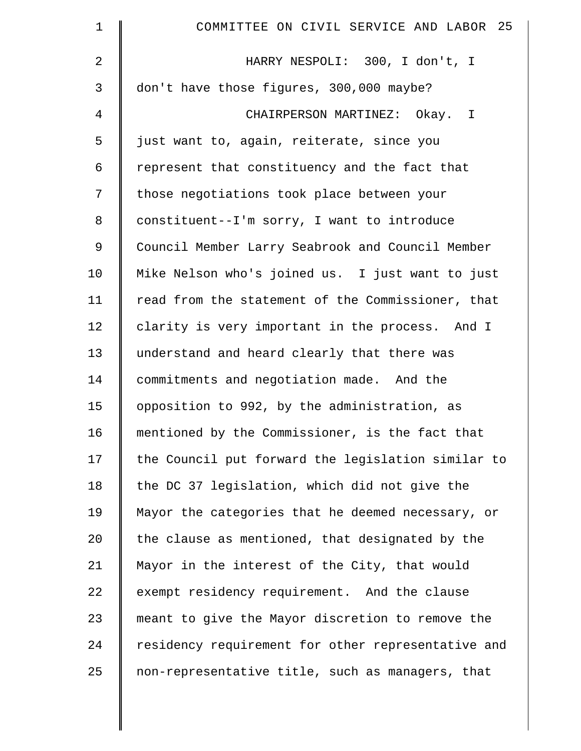| $\mathbf 1$     | COMMITTEE ON CIVIL SERVICE AND LABOR 25            |
|-----------------|----------------------------------------------------|
| 2               | HARRY NESPOLI: 300, I don't, I                     |
| 3               | don't have those figures, 300,000 maybe?           |
| 4               | CHAIRPERSON MARTINEZ: Okay. I                      |
| 5               | just want to, again, reiterate, since you          |
| 6               | represent that constituency and the fact that      |
| 7               | those negotiations took place between your         |
| 8               | constituent--I'm sorry, I want to introduce        |
| 9               | Council Member Larry Seabrook and Council Member   |
| 10              | Mike Nelson who's joined us. I just want to just   |
| 11              | read from the statement of the Commissioner, that  |
| 12              | clarity is very important in the process. And I    |
| 13              | understand and heard clearly that there was        |
| 14              | commitments and negotiation made. And the          |
| 15              | opposition to 992, by the administration, as       |
| 16              | mentioned by the Commissioner, is the fact that    |
| 17              | the Council put forward the legislation similar to |
| 18              | the DC 37 legislation, which did not give the      |
| 19              | Mayor the categories that he deemed necessary, or  |
| 20 <sub>o</sub> | the clause as mentioned, that designated by the    |
| 21              | Mayor in the interest of the City, that would      |
| 22              | exempt residency requirement. And the clause       |
| 23              | meant to give the Mayor discretion to remove the   |
| 24              | residency requirement for other representative and |
| 25              | non-representative title, such as managers, that   |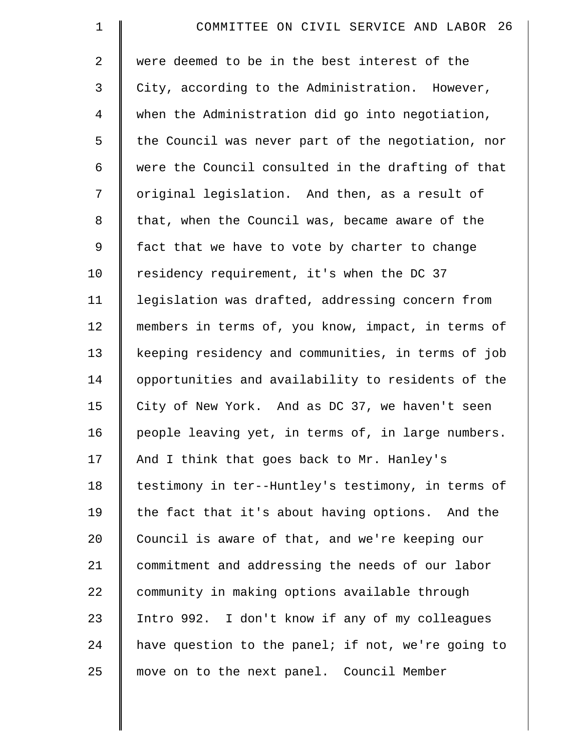| $\mathbf 1$    | COMMITTEE ON CIVIL SERVICE AND LABOR 26            |
|----------------|----------------------------------------------------|
| $\overline{2}$ | were deemed to be in the best interest of the      |
| 3              | City, according to the Administration. However,    |
| $\overline{4}$ | when the Administration did go into negotiation,   |
| 5              | the Council was never part of the negotiation, nor |
| 6              | were the Council consulted in the drafting of that |
| 7              | original legislation. And then, as a result of     |
| 8              | that, when the Council was, became aware of the    |
| 9              | fact that we have to vote by charter to change     |
| 10             | residency requirement, it's when the DC 37         |
| 11             | legislation was drafted, addressing concern from   |
| 12             | members in terms of, you know, impact, in terms of |
| 13             | keeping residency and communities, in terms of job |
| 14             | opportunities and availability to residents of the |
| 15             | City of New York. And as DC 37, we haven't seen    |
| 16             | people leaving yet, in terms of, in large numbers. |
| 17             | And I think that goes back to Mr. Hanley's         |
| 18             | testimony in ter--Huntley's testimony, in terms of |
| 19             | the fact that it's about having options. And the   |
| 20             | Council is aware of that, and we're keeping our    |
| 21             | commitment and addressing the needs of our labor   |
| 22             | community in making options available through      |
| 23             | Intro 992. I don't know if any of my colleagues    |
| 24             | have question to the panel; if not, we're going to |
| 25             | move on to the next panel. Council Member          |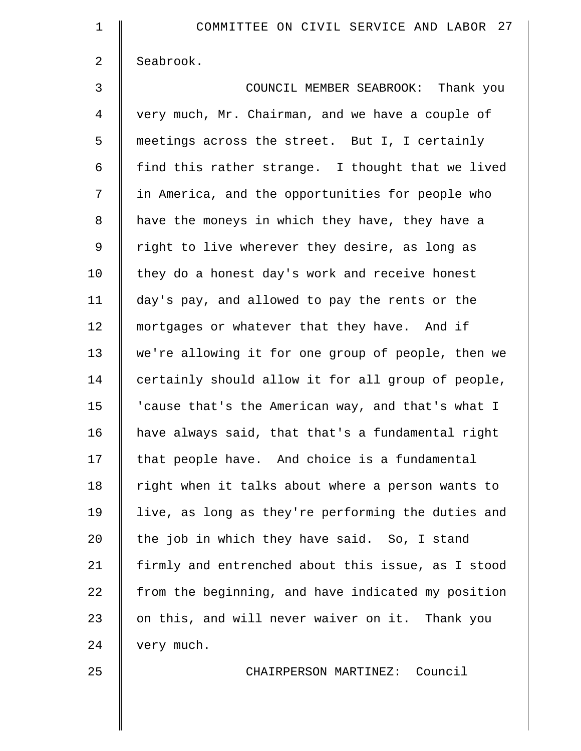| $\mathbf 1$    | COMMITTEE ON CIVIL SERVICE AND LABOR 27            |
|----------------|----------------------------------------------------|
| $\overline{2}$ | Seabrook.                                          |
| 3              | COUNCIL MEMBER SEABROOK: Thank you                 |
| $\overline{4}$ | very much, Mr. Chairman, and we have a couple of   |
| 5              | meetings across the street. But I, I certainly     |
| 6              | find this rather strange. I thought that we lived  |
| 7              | in America, and the opportunities for people who   |
| 8              | have the moneys in which they have, they have a    |
| 9              | right to live wherever they desire, as long as     |
| 10             | they do a honest day's work and receive honest     |
| 11             | day's pay, and allowed to pay the rents or the     |
| 12             | mortgages or whatever that they have. And if       |
| 13             | we're allowing it for one group of people, then we |
| 14             | certainly should allow it for all group of people, |
| 15             | 'cause that's the American way, and that's what I  |
| 16             | have always said, that that's a fundamental right  |
| 17             | that people have. And choice is a fundamental      |
| 18             | right when it talks about where a person wants to  |
| 19             | live, as long as they're performing the duties and |
| 20             | the job in which they have said. So, I stand       |
| 21             | firmly and entrenched about this issue, as I stood |
| 22             | from the beginning, and have indicated my position |
| 23             | on this, and will never waiver on it. Thank you    |
| 24             | very much.                                         |
| 25             | CHAIRPERSON MARTINEZ: Council                      |
|                |                                                    |
|                |                                                    |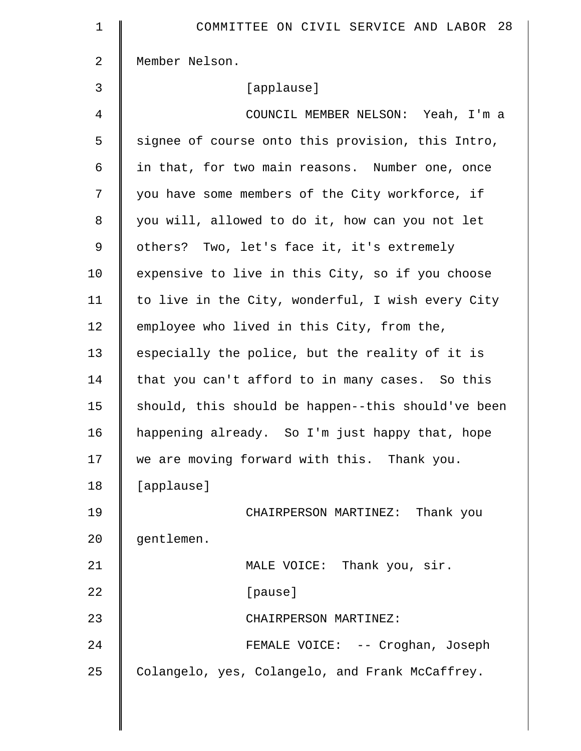| 1              | COMMITTEE ON CIVIL SERVICE AND LABOR 28            |
|----------------|----------------------------------------------------|
| $\overline{a}$ | Member Nelson.                                     |
| 3              | [applause]                                         |
| $\overline{4}$ | COUNCIL MEMBER NELSON: Yeah, I'm a                 |
| 5              | signee of course onto this provision, this Intro,  |
| 6              | in that, for two main reasons. Number one, once    |
| 7              | you have some members of the City workforce, if    |
| $\,8\,$        | you will, allowed to do it, how can you not let    |
| $\mathsf 9$    | others? Two, let's face it, it's extremely         |
| 10             | expensive to live in this City, so if you choose   |
| 11             | to live in the City, wonderful, I wish every City  |
| 12             | employee who lived in this City, from the,         |
| 13             | especially the police, but the reality of it is    |
| 14             | that you can't afford to in many cases. So this    |
| 15             | should, this should be happen--this should've been |
| 16             | happening already. So I'm just happy that, hope    |
| 17             | we are moving forward with this. Thank you.        |
| 18             | [applause]                                         |
| 19             | CHAIRPERSON MARTINEZ: Thank you                    |
| 20             | gentlemen.                                         |
| 21             | MALE VOICE: Thank you, sir.                        |
| 22             | [pause]                                            |
| 23             | CHAIRPERSON MARTINEZ:                              |
| 24             | FEMALE VOICE: -- Croghan, Joseph                   |
| 25             | Colangelo, yes, Colangelo, and Frank McCaffrey.    |
|                |                                                    |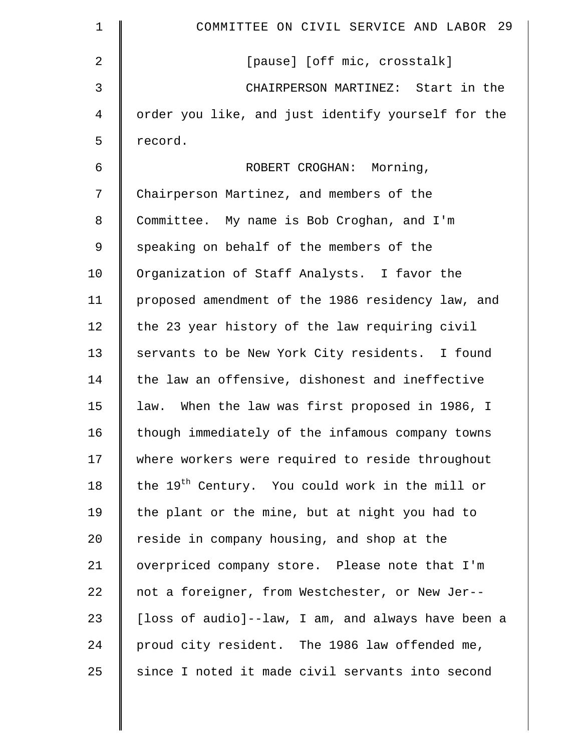| $\mathbf 1$    | COMMITTEE ON CIVIL SERVICE AND LABOR 29                     |
|----------------|-------------------------------------------------------------|
| 2              | [pause] [off mic, crosstalk]                                |
| 3              | CHAIRPERSON MARTINEZ: Start in the                          |
| $\overline{4}$ | order you like, and just identify yourself for the          |
| 5              | record.                                                     |
| 6              | ROBERT CROGHAN: Morning,                                    |
| 7              | Chairperson Martinez, and members of the                    |
| 8              | Committee. My name is Bob Croghan, and I'm                  |
| 9              | speaking on behalf of the members of the                    |
| 10             | Organization of Staff Analysts. I favor the                 |
| 11             | proposed amendment of the 1986 residency law, and           |
| 12             | the 23 year history of the law requiring civil              |
| 13             | servants to be New York City residents. I found             |
| 14             | the law an offensive, dishonest and ineffective             |
| 15             | law. When the law was first proposed in 1986, I             |
| 16             | though immediately of the infamous company towns            |
| 17             | where workers were required to reside throughout            |
| 18             | the 19 <sup>th</sup> Century. You could work in the mill or |
| 19             | the plant or the mine, but at night you had to              |
| 20             | reside in company housing, and shop at the                  |
| 21             | overpriced company store. Please note that I'm              |
| 22             | not a foreigner, from Westchester, or New Jer--             |
| 23             | [loss of audio]--law, I am, and always have been a          |
| 24             | proud city resident. The 1986 law offended me,              |
| 25             | since I noted it made civil servants into second            |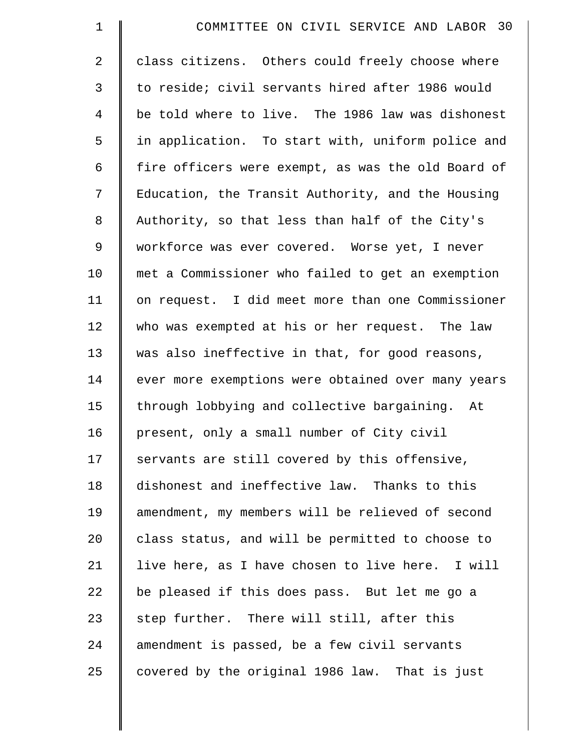| $\mathbf 1$    | COMMITTEE ON CIVIL SERVICE AND LABOR 30            |
|----------------|----------------------------------------------------|
| $\overline{2}$ | class citizens. Others could freely choose where   |
| 3              | to reside; civil servants hired after 1986 would   |
| 4              | be told where to live. The 1986 law was dishonest  |
| 5              | in application. To start with, uniform police and  |
| 6              | fire officers were exempt, as was the old Board of |
| 7              | Education, the Transit Authority, and the Housing  |
| 8              | Authority, so that less than half of the City's    |
| 9              | workforce was ever covered. Worse yet, I never     |
| 10             | met a Commissioner who failed to get an exemption  |
| 11             | on request. I did meet more than one Commissioner  |
| 12             | who was exempted at his or her request. The law    |
| 13             | was also ineffective in that, for good reasons,    |
| 14             | ever more exemptions were obtained over many years |
| 15             | through lobbying and collective bargaining. At     |
| 16             | present, only a small number of City civil         |
| 17             | servants are still covered by this offensive,      |
| 18             | dishonest and ineffective law. Thanks to this      |
| 19             | amendment, my members will be relieved of second   |
| 20             | class status, and will be permitted to choose to   |
| 21             | live here, as I have chosen to live here. I will   |
| 22             | be pleased if this does pass. But let me go a      |
| 23             | step further. There will still, after this         |
| 24             | amendment is passed, be a few civil servants       |
| 25             | covered by the original 1986 law. That is just     |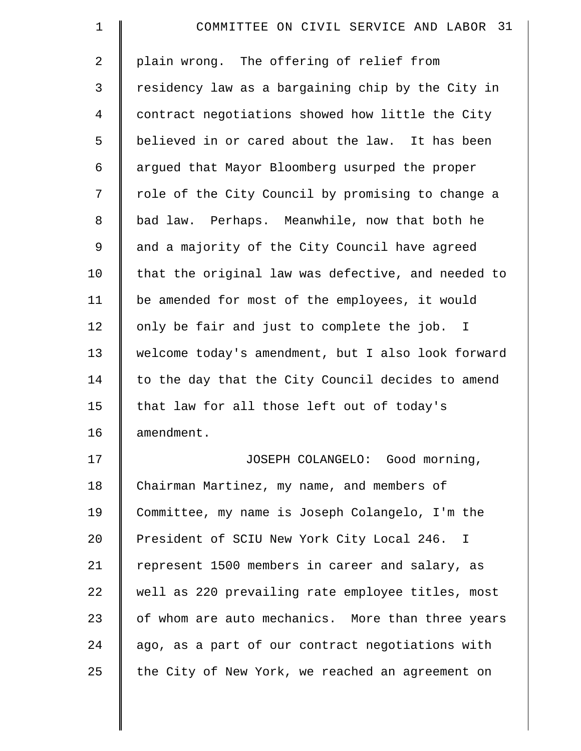| $\mathbf 1$    | COMMITTEE ON CIVIL SERVICE AND LABOR 31            |
|----------------|----------------------------------------------------|
| $\overline{2}$ | plain wrong. The offering of relief from           |
| 3              | residency law as a bargaining chip by the City in  |
| $\overline{4}$ | contract negotiations showed how little the City   |
| 5              | believed in or cared about the law. It has been    |
| 6              | argued that Mayor Bloomberg usurped the proper     |
| 7              | role of the City Council by promising to change a  |
| 8              | bad law. Perhaps. Meanwhile, now that both he      |
| 9              | and a majority of the City Council have agreed     |
| 10             | that the original law was defective, and needed to |
| 11             | be amended for most of the employees, it would     |
| 12             | only be fair and just to complete the job. I       |
| 13             | welcome today's amendment, but I also look forward |
| 14             | to the day that the City Council decides to amend  |
| 15             | that law for all those left out of today's         |
| 16             | amendment.                                         |
| 17             | JOSEPH COLANGELO: Good morning,                    |
| 18             | Chairman Martinez, my name, and members of         |
| 19             | Committee, my name is Joseph Colangelo, I'm the    |
| 20             | President of SCIU New York City Local 246. I       |
| 21             | represent 1500 members in career and salary, as    |
| 22             | well as 220 prevailing rate employee titles, most  |
| 23             | of whom are auto mechanics. More than three years  |
| 24             | ago, as a part of our contract negotiations with   |
| 25             | the City of New York, we reached an agreement on   |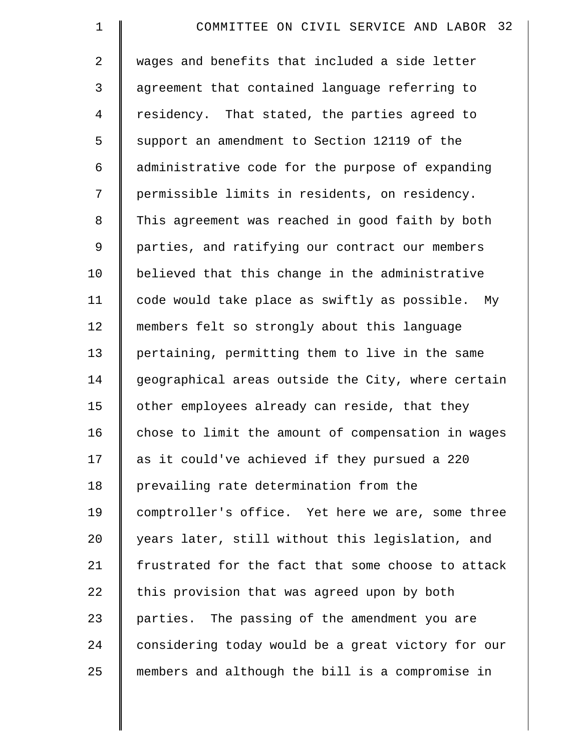| $\mathbf 1$    | COMMITTEE ON CIVIL SERVICE AND LABOR 32            |
|----------------|----------------------------------------------------|
| $\overline{a}$ | wages and benefits that included a side letter     |
| 3              | agreement that contained language referring to     |
| $\overline{4}$ | residency. That stated, the parties agreed to      |
| 5              | support an amendment to Section 12119 of the       |
| 6              | administrative code for the purpose of expanding   |
| 7              | permissible limits in residents, on residency.     |
| 8              | This agreement was reached in good faith by both   |
| 9              | parties, and ratifying our contract our members    |
| 10             | believed that this change in the administrative    |
| 11             | code would take place as swiftly as possible. My   |
| 12             | members felt so strongly about this language       |
| 13             | pertaining, permitting them to live in the same    |
| 14             | geographical areas outside the City, where certain |
| 15             | other employees already can reside, that they      |
| 16             | chose to limit the amount of compensation in wages |
| 17             | as it could've achieved if they pursued a 220      |
| 18             | prevailing rate determination from the             |
| 19             | comptroller's office. Yet here we are, some three  |
| 20             | years later, still without this legislation, and   |
| 21             | frustrated for the fact that some choose to attack |
| 22             | this provision that was agreed upon by both        |
| 23             | parties. The passing of the amendment you are      |
| 24             | considering today would be a great victory for our |
| 25             | members and although the bill is a compromise in   |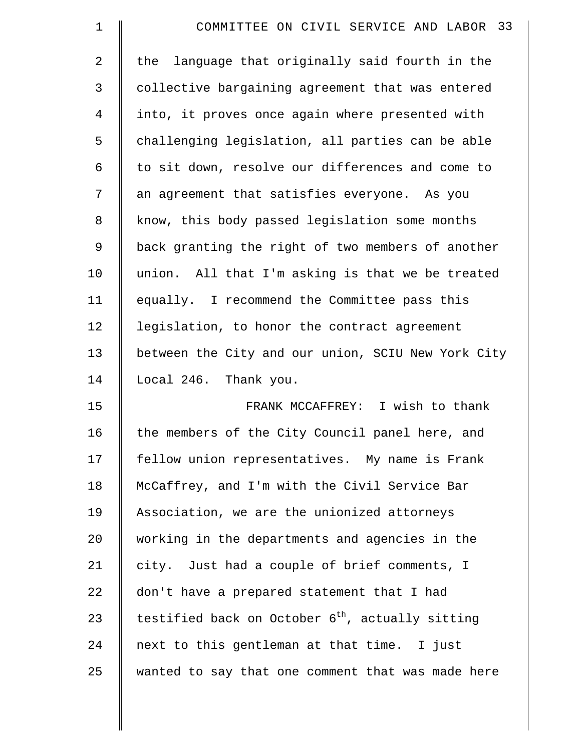| $\mathbf 1$    | COMMITTEE ON CIVIL SERVICE AND LABOR 33                      |
|----------------|--------------------------------------------------------------|
| $\overline{2}$ | language that originally said fourth in the<br>the           |
| 3              | collective bargaining agreement that was entered             |
| 4              | into, it proves once again where presented with              |
| 5              | challenging legislation, all parties can be able             |
| 6              | to sit down, resolve our differences and come to             |
| 7              | an agreement that satisfies everyone. As you                 |
| 8              | know, this body passed legislation some months               |
| 9              | back granting the right of two members of another            |
| 10             | union. All that I'm asking is that we be treated             |
| 11             | equally. I recommend the Committee pass this                 |
| 12             | legislation, to honor the contract agreement                 |
| 13             | between the City and our union, SCIU New York City           |
| 14             | Local 246. Thank you.                                        |
| 15             | FRANK MCCAFFREY: I wish to thank                             |
| 16             | the members of the City Council panel here, and              |
| 17             | fellow union representatives. My name is Frank               |
| 18             | McCaffrey, and I'm with the Civil Service Bar                |
| 19             | Association, we are the unionized attorneys                  |
| 20             | working in the departments and agencies in the               |
| 21             | city. Just had a couple of brief comments, I                 |
| 22             | don't have a prepared statement that I had                   |
| 23             | testified back on October 6 <sup>th</sup> , actually sitting |
| 24             | next to this gentleman at that time. I just                  |
| 25             | wanted to say that one comment that was made here            |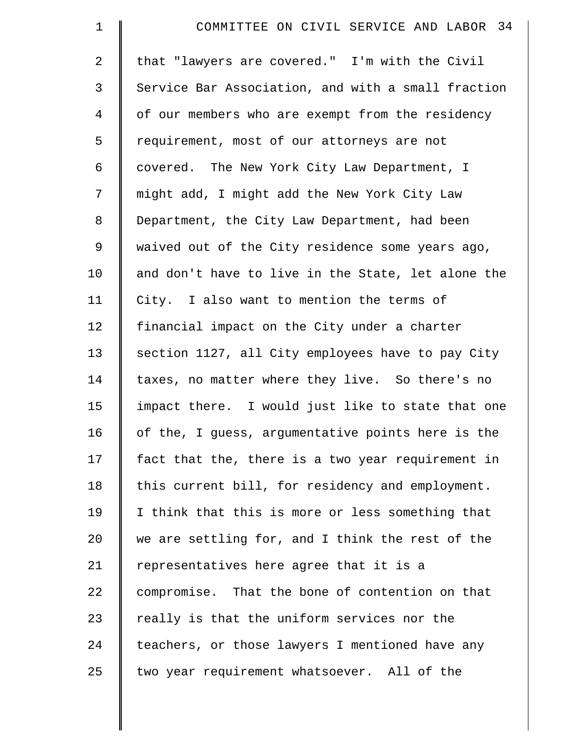| $\mathbf 1$    | COMMITTEE ON CIVIL SERVICE AND LABOR 34            |
|----------------|----------------------------------------------------|
| $\overline{a}$ | that "lawyers are covered." I'm with the Civil     |
| 3              | Service Bar Association, and with a small fraction |
| $\overline{4}$ | of our members who are exempt from the residency   |
| 5              | requirement, most of our attorneys are not         |
| 6              | covered. The New York City Law Department, I       |
| 7              | might add, I might add the New York City Law       |
| $\,8\,$        | Department, the City Law Department, had been      |
| 9              | waived out of the City residence some years ago,   |
| 10             | and don't have to live in the State, let alone the |
| 11             | City. I also want to mention the terms of          |
| 12             | financial impact on the City under a charter       |
| 13             | section 1127, all City employees have to pay City  |
| 14             | taxes, no matter where they live. So there's no    |
| 15             | impact there. I would just like to state that one  |
| 16             | of the, I guess, argumentative points here is the  |
| 17             | fact that the, there is a two year requirement in  |
| 18             | this current bill, for residency and employment.   |
| 19             | I think that this is more or less something that   |
| 20             | we are settling for, and I think the rest of the   |
| 21             | representatives here agree that it is a            |
| 22             | compromise. That the bone of contention on that    |
| 23             | really is that the uniform services nor the        |
| 24             | teachers, or those lawyers I mentioned have any    |
| 25             | two year requirement whatsoever. All of the        |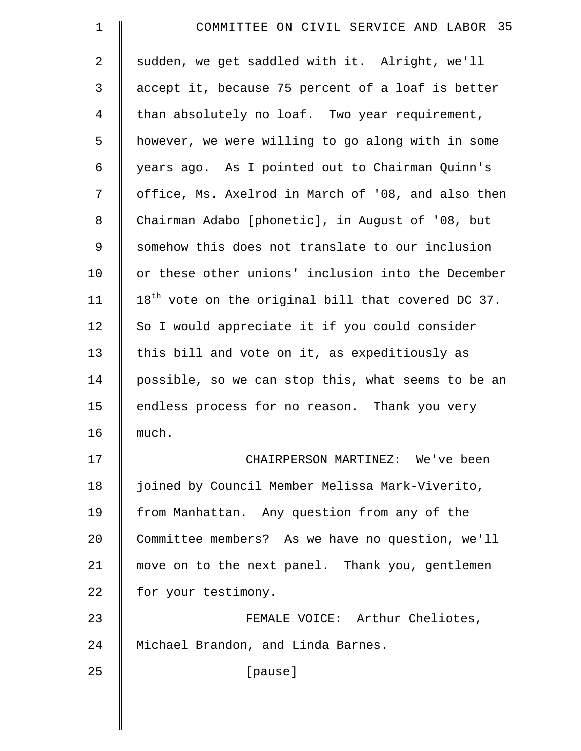| 1           | COMMITTEE ON CIVIL SERVICE AND LABOR 35              |
|-------------|------------------------------------------------------|
| 2           | sudden, we get saddled with it. Alright, we'll       |
| 3           | accept it, because 75 percent of a loaf is better    |
| 4           | than absolutely no loaf. Two year requirement,       |
| 5           | however, we were willing to go along with in some    |
| 6           | years ago. As I pointed out to Chairman Quinn's      |
| 7           | office, Ms. Axelrod in March of '08, and also then   |
| 8           | Chairman Adabo [phonetic], in August of '08, but     |
| $\mathsf 9$ | somehow this does not translate to our inclusion     |
| 10          | or these other unions' inclusion into the December   |
| 11          | $18th$ vote on the original bill that covered DC 37. |
| 12          | So I would appreciate it if you could consider       |
| 13          | this bill and vote on it, as expeditiously as        |
| 14          | possible, so we can stop this, what seems to be an   |
| 15          | endless process for no reason. Thank you very        |
| 16          | much.                                                |
| 17          | CHAIRPERSON MARTINEZ: We've been                     |
| 18          | joined by Council Member Melissa Mark-Viverito,      |
| 19          | from Manhattan. Any question from any of the         |
| 20          | Committee members? As we have no question, we'll     |
| 21          | move on to the next panel. Thank you, gentlemen      |
| 22          | for your testimony.                                  |
| 23          | FEMALE VOICE: Arthur Cheliotes,                      |
| 24          | Michael Brandon, and Linda Barnes.                   |
| 25          | [pause]                                              |
|             |                                                      |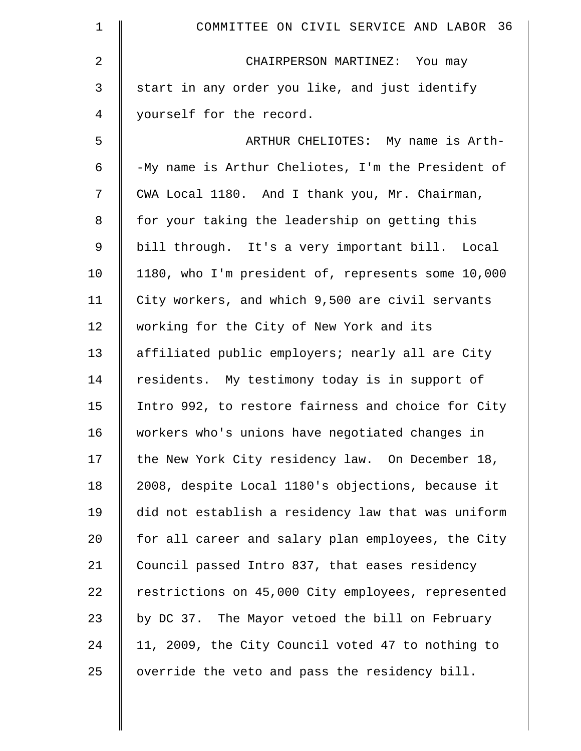| 1  | COMMITTEE ON CIVIL SERVICE AND LABOR 36            |
|----|----------------------------------------------------|
| 2  | CHAIRPERSON MARTINEZ: You may                      |
| 3  | start in any order you like, and just identify     |
| 4  | yourself for the record.                           |
| 5  | ARTHUR CHELIOTES: My name is Arth-                 |
| 6  | -My name is Arthur Cheliotes, I'm the President of |
| 7  | CWA Local 1180. And I thank you, Mr. Chairman,     |
| 8  | for your taking the leadership on getting this     |
| 9  | bill through. It's a very important bill. Local    |
| 10 | 1180, who I'm president of, represents some 10,000 |
| 11 | City workers, and which 9,500 are civil servants   |
| 12 | working for the City of New York and its           |
| 13 | affiliated public employers; nearly all are City   |
| 14 | residents. My testimony today is in support of     |
| 15 | Intro 992, to restore fairness and choice for City |
| 16 | workers who's unions have negotiated changes in    |
| 17 | the New York City residency law. On December 18,   |
| 18 | 2008, despite Local 1180's objections, because it  |
| 19 | did not establish a residency law that was uniform |
| 20 | for all career and salary plan employees, the City |
| 21 | Council passed Intro 837, that eases residency     |
| 22 | restrictions on 45,000 City employees, represented |
| 23 | by DC 37. The Mayor vetoed the bill on February    |
| 24 | 11, 2009, the City Council voted 47 to nothing to  |
| 25 | override the veto and pass the residency bill.     |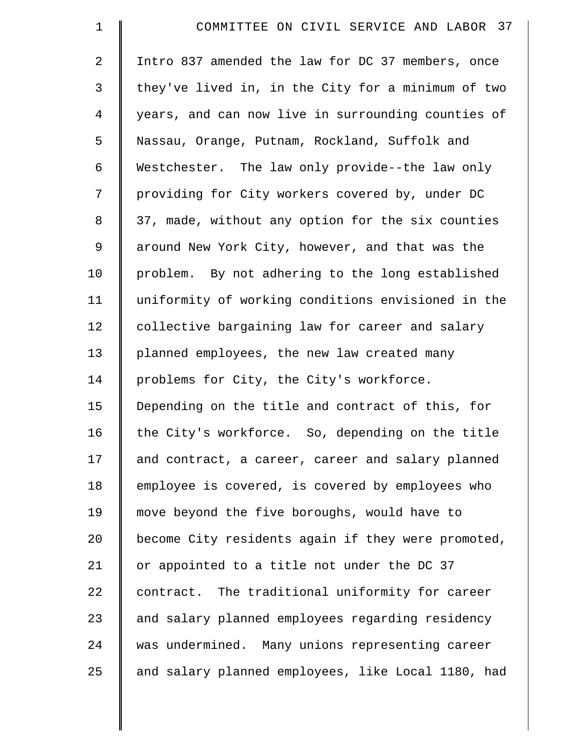| $\mathbf 1$    | COMMITTEE ON CIVIL SERVICE AND LABOR 37            |
|----------------|----------------------------------------------------|
| 2              | Intro 837 amended the law for DC 37 members, once  |
| 3              | they've lived in, in the City for a minimum of two |
| $\overline{4}$ | years, and can now live in surrounding counties of |
| 5              | Nassau, Orange, Putnam, Rockland, Suffolk and      |
| 6              | Westchester. The law only provide--the law only    |
| 7              | providing for City workers covered by, under DC    |
| 8              | 37, made, without any option for the six counties  |
| 9              | around New York City, however, and that was the    |
| 10             | problem. By not adhering to the long established   |
| 11             | uniformity of working conditions envisioned in the |
| 12             | collective bargaining law for career and salary    |
| 13             | planned employees, the new law created many        |
| 14             | problems for City, the City's workforce.           |
| 15             | Depending on the title and contract of this, for   |
| 16             | the City's workforce. So, depending on the title   |
| 17             | and contract, a career, career and salary planned  |
| 18             | employee is covered, is covered by employees who   |
| 19             | move beyond the five boroughs, would have to       |
| 20             | become City residents again if they were promoted, |
| 21             | or appointed to a title not under the DC 37        |
| 22             | contract. The traditional uniformity for career    |
| 23             | and salary planned employees regarding residency   |
| 24             | was undermined. Many unions representing career    |
| 25             | and salary planned employees, like Local 1180, had |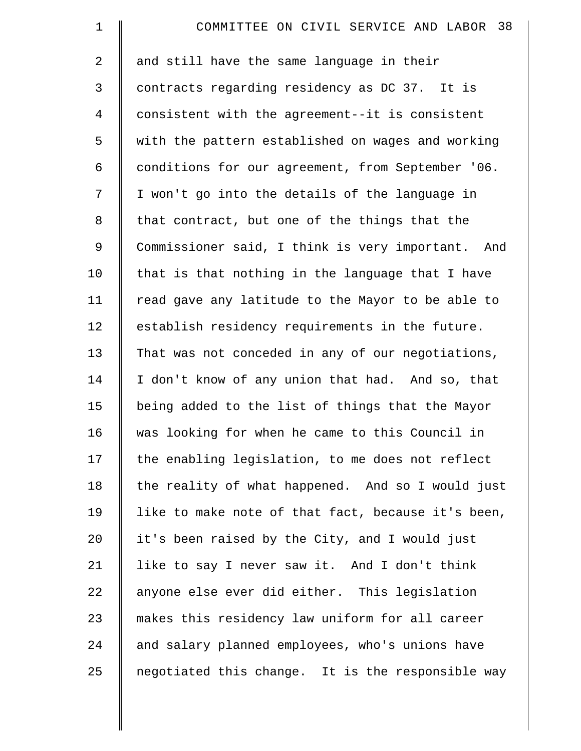| $\mathbf 1$    | COMMITTEE ON CIVIL SERVICE AND LABOR 38            |
|----------------|----------------------------------------------------|
| $\overline{2}$ | and still have the same language in their          |
| 3              | contracts regarding residency as DC 37. It is      |
| 4              | consistent with the agreement--it is consistent    |
| 5              | with the pattern established on wages and working  |
| 6              | conditions for our agreement, from September '06.  |
| 7              | I won't go into the details of the language in     |
| 8              | that contract, but one of the things that the      |
| 9              | Commissioner said, I think is very important. And  |
| 10             | that is that nothing in the language that I have   |
| 11             | read gave any latitude to the Mayor to be able to  |
| 12             | establish residency requirements in the future.    |
| 13             | That was not conceded in any of our negotiations,  |
| 14             | I don't know of any union that had. And so, that   |
| 15             | being added to the list of things that the Mayor   |
| 16             | was looking for when he came to this Council in    |
| 17             | the enabling legislation, to me does not reflect   |
| 18             | the reality of what happened. And so I would just  |
| 19             | like to make note of that fact, because it's been, |
| 20             | it's been raised by the City, and I would just     |
| 21             | like to say I never saw it. And I don't think      |
| 22             | anyone else ever did either. This legislation      |
| 23             | makes this residency law uniform for all career    |
| 24             | and salary planned employees, who's unions have    |
| 25             | negotiated this change. It is the responsible way  |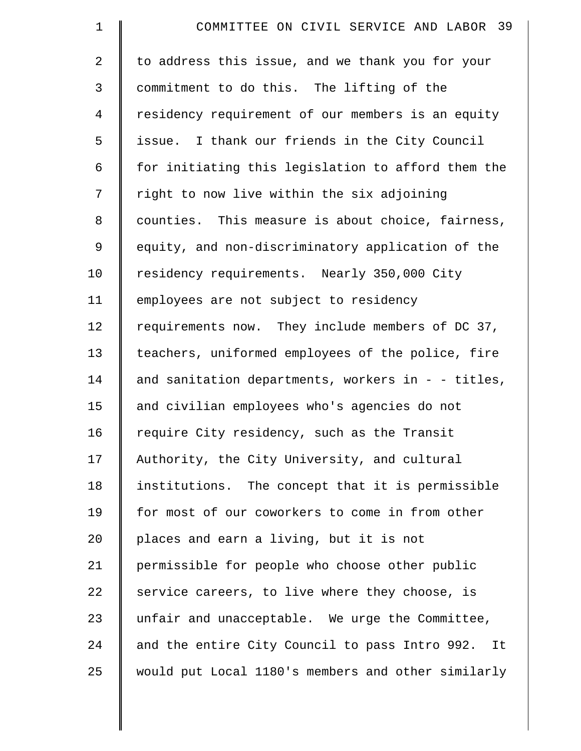| $\mathbf 1$    | COMMITTEE ON CIVIL SERVICE AND LABOR 39              |
|----------------|------------------------------------------------------|
| $\overline{2}$ | to address this issue, and we thank you for your     |
| 3              | commitment to do this. The lifting of the            |
| $\overline{4}$ | residency requirement of our members is an equity    |
| 5              | issue. I thank our friends in the City Council       |
| 6              | for initiating this legislation to afford them the   |
| 7              | right to now live within the six adjoining           |
| 8              | counties. This measure is about choice, fairness,    |
| 9              | equity, and non-discriminatory application of the    |
| 10             | residency requirements. Nearly 350,000 City          |
| 11             | employees are not subject to residency               |
| 12             | requirements now. They include members of DC 37,     |
| 13             | teachers, uniformed employees of the police, fire    |
| 14             | and sanitation departments, workers in - - titles,   |
| 15             | and civilian employees who's agencies do not         |
| 16             | require City residency, such as the Transit          |
| 17             | Authority, the City University, and cultural         |
| 18             | institutions. The concept that it is permissible     |
| 19             | for most of our coworkers to come in from other      |
| 20             | places and earn a living, but it is not              |
| 21             | permissible for people who choose other public       |
| 22             | service careers, to live where they choose, is       |
| 23             | unfair and unacceptable. We urge the Committee,      |
| 24             | and the entire City Council to pass Intro 992.<br>It |
| 25             | would put Local 1180's members and other similarly   |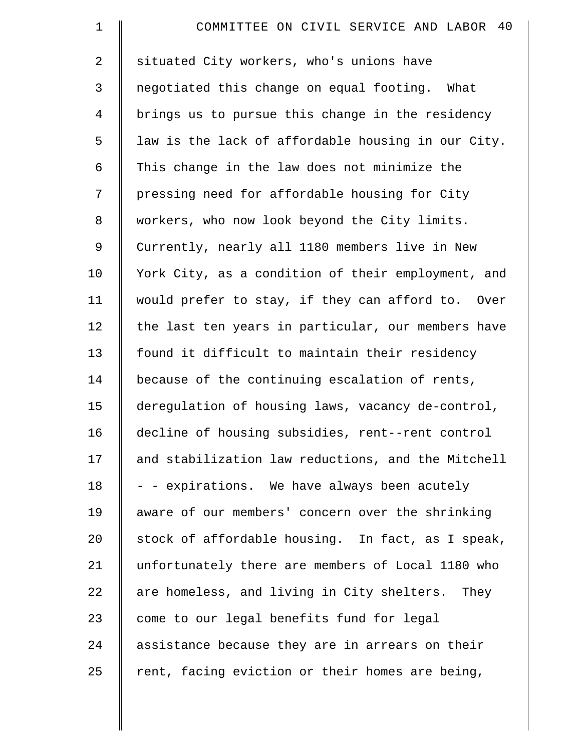| $\mathbf 1$    | COMMITTEE ON CIVIL SERVICE AND LABOR 40            |
|----------------|----------------------------------------------------|
| $\overline{a}$ | situated City workers, who's unions have           |
| 3              | negotiated this change on equal footing. What      |
| $\overline{4}$ | brings us to pursue this change in the residency   |
| 5              | law is the lack of affordable housing in our City. |
| 6              | This change in the law does not minimize the       |
| 7              | pressing need for affordable housing for City      |
| 8              | workers, who now look beyond the City limits.      |
| $\mathsf 9$    | Currently, nearly all 1180 members live in New     |
| 10             | York City, as a condition of their employment, and |
| 11             | would prefer to stay, if they can afford to. Over  |
| 12             | the last ten years in particular, our members have |
| 13             | found it difficult to maintain their residency     |
| 14             | because of the continuing escalation of rents,     |
| 15             | deregulation of housing laws, vacancy de-control,  |
| 16             | decline of housing subsidies, rent--rent control   |
| 17             | and stabilization law reductions, and the Mitchell |
| 18             | - - expirations. We have always been acutely       |
| 19             | aware of our members' concern over the shrinking   |
| 20             | stock of affordable housing. In fact, as I speak,  |
| 21             | unfortunately there are members of Local 1180 who  |
| 22             | are homeless, and living in City shelters. They    |
| 23             | come to our legal benefits fund for legal          |
| 24             | assistance because they are in arrears on their    |
| 25             | rent, facing eviction or their homes are being,    |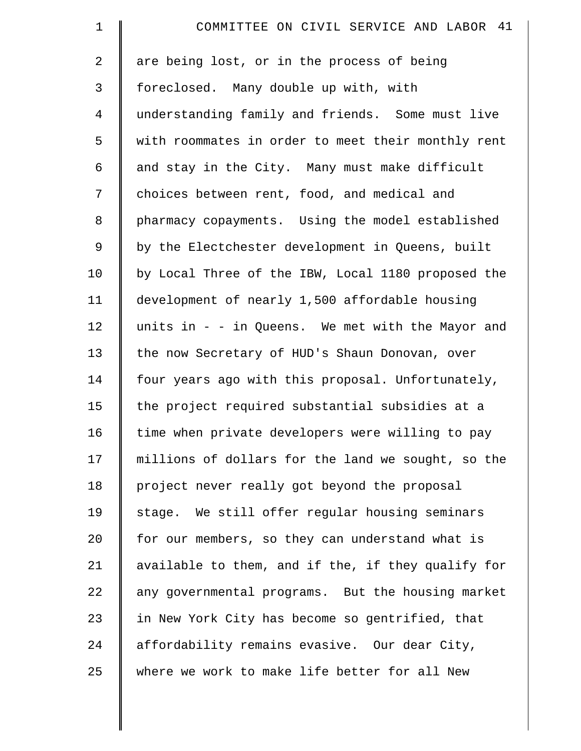| $\mathbf 1$    | COMMITTEE ON CIVIL SERVICE AND LABOR 41             |
|----------------|-----------------------------------------------------|
| $\overline{2}$ | are being lost, or in the process of being          |
| 3              | foreclosed. Many double up with, with               |
| $\overline{4}$ | understanding family and friends. Some must live    |
| 5              | with roommates in order to meet their monthly rent  |
| 6              | and stay in the City. Many must make difficult      |
| 7              | choices between rent, food, and medical and         |
| 8              | pharmacy copayments. Using the model established    |
| $\mathsf 9$    | by the Electchester development in Queens, built    |
| 10             | by Local Three of the IBW, Local 1180 proposed the  |
| 11             | development of nearly 1,500 affordable housing      |
| 12             | units in $-$ - in Queens. We met with the Mayor and |
| 13             | the now Secretary of HUD's Shaun Donovan, over      |
| 14             | four years ago with this proposal. Unfortunately,   |
| 15             | the project required substantial subsidies at a     |
| 16             | time when private developers were willing to pay    |
| 17             | millions of dollars for the land we sought, so the  |
| 18             | project never really got beyond the proposal        |
| 19             | stage. We still offer regular housing seminars      |
| 20             | for our members, so they can understand what is     |
| 21             | available to them, and if the, if they qualify for  |
| 22             | any governmental programs. But the housing market   |
| 23             | in New York City has become so gentrified, that     |
| 24             | affordability remains evasive. Our dear City,       |
| 25             | where we work to make life better for all New       |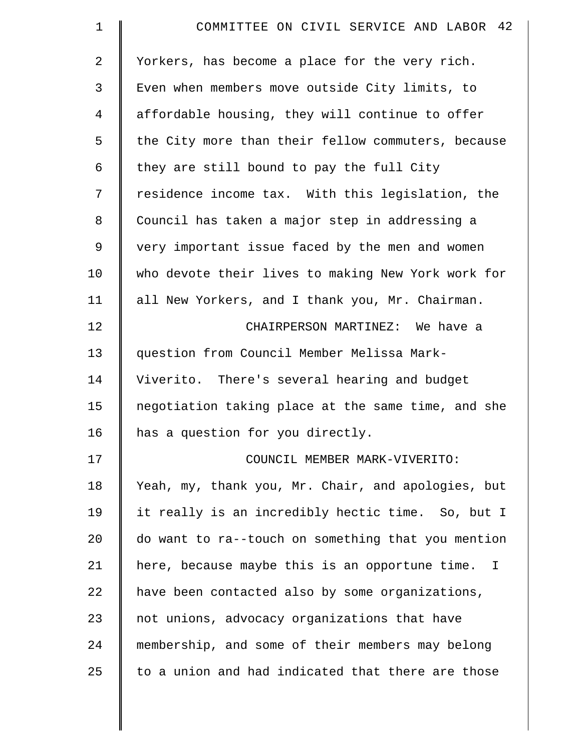| $\mathbf 1$    | COMMITTEE ON CIVIL SERVICE AND LABOR 42            |
|----------------|----------------------------------------------------|
| $\overline{2}$ | Yorkers, has become a place for the very rich.     |
| 3              | Even when members move outside City limits, to     |
| 4              | affordable housing, they will continue to offer    |
| 5              | the City more than their fellow commuters, because |
| 6              | they are still bound to pay the full City          |
| 7              | residence income tax. With this legislation, the   |
| 8              | Council has taken a major step in addressing a     |
| 9              | very important issue faced by the men and women    |
| 10             | who devote their lives to making New York work for |
| 11             | all New Yorkers, and I thank you, Mr. Chairman.    |
| 12             | CHAIRPERSON MARTINEZ: We have a                    |
| 13             | question from Council Member Melissa Mark-         |
| 14             | Viverito. There's several hearing and budget       |
| 15             | negotiation taking place at the same time, and she |
| 16             | has a question for you directly.                   |
| 17             | COUNCIL MEMBER MARK-VIVERITO:                      |
| 18             | Yeah, my, thank you, Mr. Chair, and apologies, but |
| 19             | it really is an incredibly hectic time. So, but I  |
| 20             | do want to ra--touch on something that you mention |
| 21             | here, because maybe this is an opportune time. I   |
| 22             | have been contacted also by some organizations,    |
| 23             | not unions, advocacy organizations that have       |
| 24             | membership, and some of their members may belong   |
| 25             | to a union and had indicated that there are those  |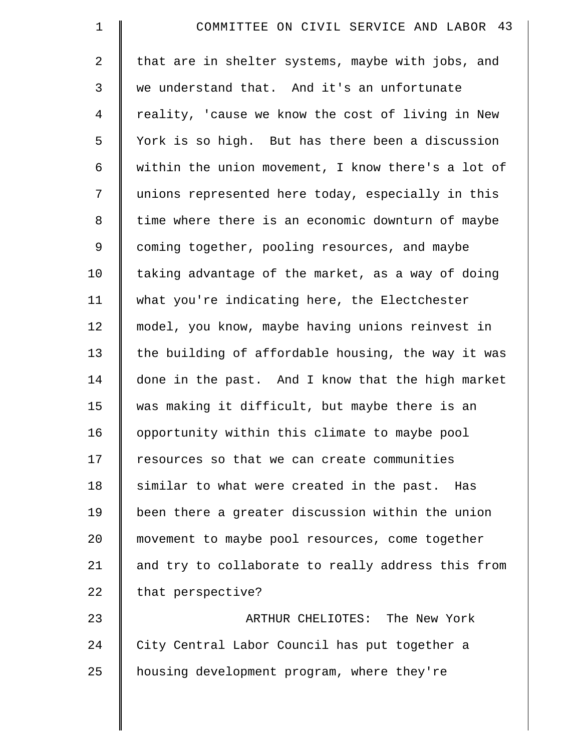| $\mathbf 1$    | COMMITTEE ON CIVIL SERVICE AND LABOR 43            |
|----------------|----------------------------------------------------|
| $\overline{2}$ | that are in shelter systems, maybe with jobs, and  |
| 3              | we understand that. And it's an unfortunate        |
| 4              | reality, 'cause we know the cost of living in New  |
| 5              | York is so high. But has there been a discussion   |
| 6              | within the union movement, I know there's a lot of |
| 7              | unions represented here today, especially in this  |
| $\,8\,$        | time where there is an economic downturn of maybe  |
| 9              | coming together, pooling resources, and maybe      |
| 10             | taking advantage of the market, as a way of doing  |
| 11             | what you're indicating here, the Electchester      |
| 12             | model, you know, maybe having unions reinvest in   |
| 13             | the building of affordable housing, the way it was |
| 14             | done in the past. And I know that the high market  |
| 15             | was making it difficult, but maybe there is an     |
| 16             | opportunity within this climate to maybe pool      |
| 17             | resources so that we can create communities        |
| 18             | similar to what were created in the past. Has      |
| 19             | been there a greater discussion within the union   |
| 20             | movement to maybe pool resources, come together    |
| 21             | and try to collaborate to really address this from |
| 22             | that perspective?                                  |
| 23             | ARTHUR CHELIOTES: The New York                     |
| 24             | City Central Labor Council has put together a      |
| 25             | housing development program, where they're         |
|                |                                                    |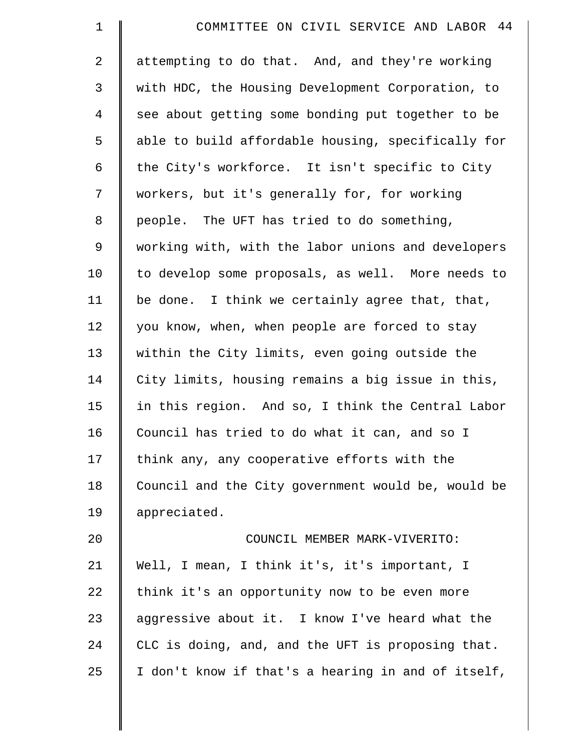| $\mathbf 1$ | COMMITTEE ON CIVIL SERVICE AND LABOR 44            |
|-------------|----------------------------------------------------|
| 2           | attempting to do that. And, and they're working    |
| 3           | with HDC, the Housing Development Corporation, to  |
| 4           | see about getting some bonding put together to be  |
| 5           | able to build affordable housing, specifically for |
| 6           | the City's workforce. It isn't specific to City    |
| 7           | workers, but it's generally for, for working       |
| $\,8\,$     | people. The UFT has tried to do something,         |
| 9           | working with, with the labor unions and developers |
| 10          | to develop some proposals, as well. More needs to  |
| 11          | be done. I think we certainly agree that, that,    |
| 12          | you know, when, when people are forced to stay     |
| 13          | within the City limits, even going outside the     |
| 14          | City limits, housing remains a big issue in this,  |
| 15          | in this region. And so, I think the Central Labor  |
| 16          | Council has tried to do what it can, and so I      |
| 17          | think any, any cooperative efforts with the        |
| 18          | Council and the City government would be, would be |
| 19          | appreciated.                                       |
| 20          | COUNCIL MEMBER MARK-VIVERITO:                      |
| 21          | Well, I mean, I think it's, it's important, I      |
| 22          | think it's an opportunity now to be even more      |
| 23          | aggressive about it. I know I've heard what the    |
| 24          | CLC is doing, and, and the UFT is proposing that.  |
| 25          | I don't know if that's a hearing in and of itself, |
|             |                                                    |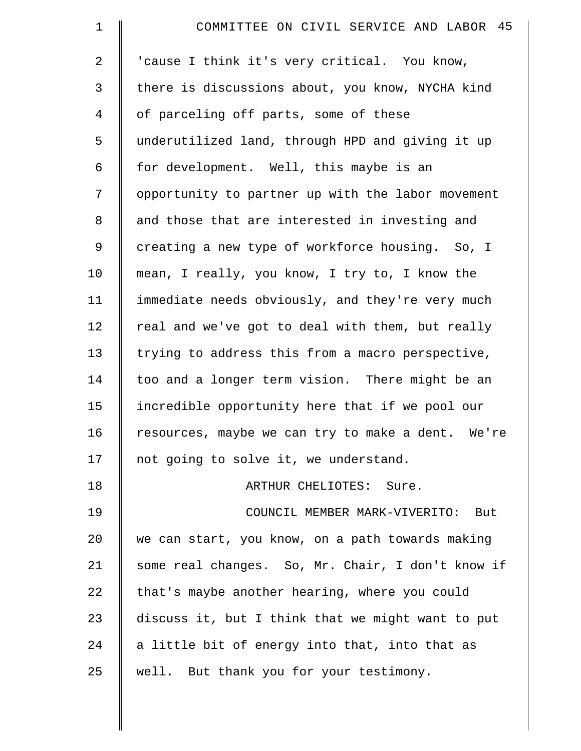| $\mathbf 1$    | COMMITTEE ON CIVIL SERVICE AND LABOR 45           |
|----------------|---------------------------------------------------|
| 2              | 'cause I think it's very critical. You know,      |
| 3              | there is discussions about, you know, NYCHA kind  |
| $\overline{4}$ | of parceling off parts, some of these             |
| 5              | underutilized land, through HPD and giving it up  |
| 6              | for development. Well, this maybe is an           |
| 7              | opportunity to partner up with the labor movement |
| 8              | and those that are interested in investing and    |
| 9              | creating a new type of workforce housing. So, I   |
| 10             | mean, I really, you know, I try to, I know the    |
| 11             | immediate needs obviously, and they're very much  |
| 12             | real and we've got to deal with them, but really  |
| 13             | trying to address this from a macro perspective,  |
| 14             | too and a longer term vision. There might be an   |
| 15             | incredible opportunity here that if we pool our   |
| 16             | resources, maybe we can try to make a dent. We're |
| 17             | not going to solve it, we understand.             |
| 18             | ARTHUR CHELIOTES: Sure.                           |
| 19             | COUNCIL MEMBER MARK-VIVERITO:<br>But              |
| 20             | we can start, you know, on a path towards making  |
| 21             | some real changes. So, Mr. Chair, I don't know if |
| 22             | that's maybe another hearing, where you could     |
| 23             | discuss it, but I think that we might want to put |
| 24             | a little bit of energy into that, into that as    |
| 25             | well. But thank you for your testimony.           |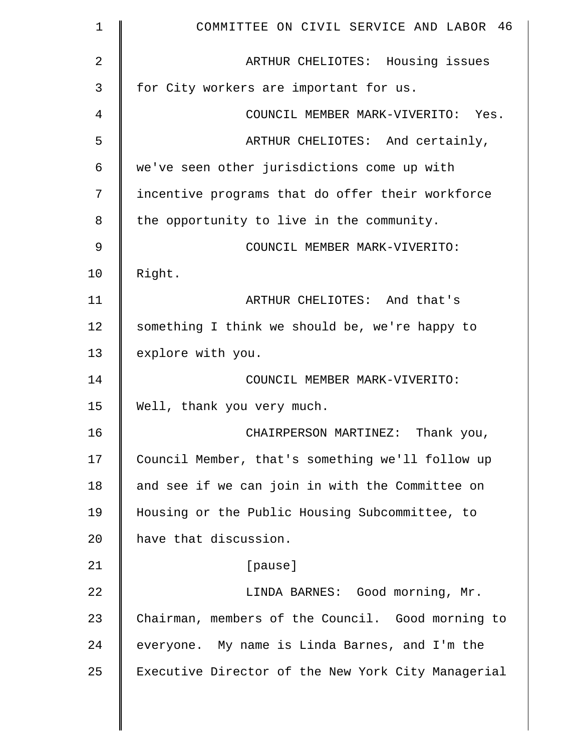| $\mathbf 1$ | COMMITTEE ON CIVIL SERVICE AND LABOR 46            |
|-------------|----------------------------------------------------|
| 2           | ARTHUR CHELIOTES: Housing issues                   |
| 3           | for City workers are important for us.             |
| 4           | COUNCIL MEMBER MARK-VIVERITO: Yes.                 |
| 5           | ARTHUR CHELIOTES: And certainly,                   |
| 6           | we've seen other jurisdictions come up with        |
| 7           | incentive programs that do offer their workforce   |
| 8           | the opportunity to live in the community.          |
| 9           | COUNCIL MEMBER MARK-VIVERITO:                      |
| 10          | Right.                                             |
| 11          | ARTHUR CHELIOTES: And that's                       |
| 12          | something I think we should be, we're happy to     |
| 13          | explore with you.                                  |
| 14          | COUNCIL MEMBER MARK-VIVERITO:                      |
| 15          | Well, thank you very much.                         |
| 16          | CHAIRPERSON MARTINEZ: Thank you,                   |
| 17          | Council Member, that's something we'll follow up   |
| 18          | and see if we can join in with the Committee on    |
| 19          | Housing or the Public Housing Subcommittee, to     |
| 20          | have that discussion.                              |
| 21          | [pause]                                            |
| 22          | LINDA BARNES: Good morning, Mr.                    |
| 23          | Chairman, members of the Council. Good morning to  |
| 24          | everyone. My name is Linda Barnes, and I'm the     |
| 25          | Executive Director of the New York City Managerial |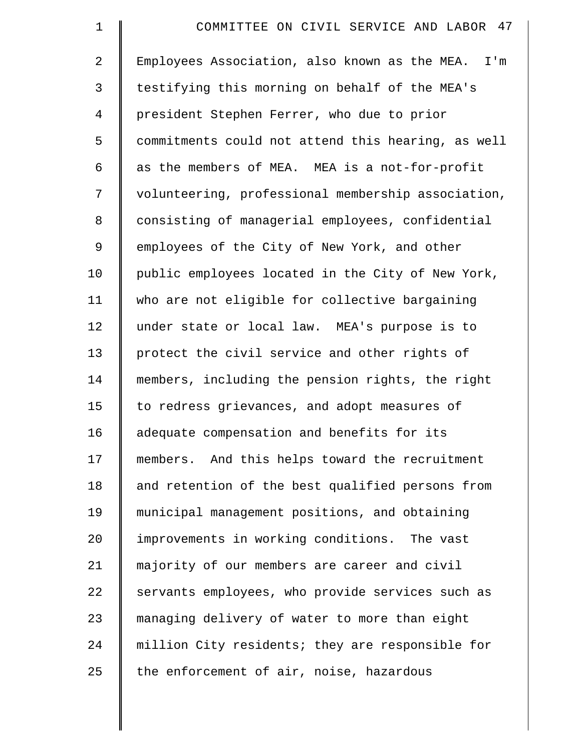| $\mathbf 1$ | COMMITTEE ON CIVIL SERVICE AND LABOR 47            |
|-------------|----------------------------------------------------|
| 2           | Employees Association, also known as the MEA. I'm  |
| 3           | testifying this morning on behalf of the MEA's     |
| 4           | president Stephen Ferrer, who due to prior         |
| 5           | commitments could not attend this hearing, as well |
| 6           | as the members of MEA. MEA is a not-for-profit     |
| 7           | volunteering, professional membership association, |
| 8           | consisting of managerial employees, confidential   |
| 9           | employees of the City of New York, and other       |
| 10          | public employees located in the City of New York,  |
| 11          | who are not eligible for collective bargaining     |
| 12          | under state or local law. MEA's purpose is to      |
| 13          | protect the civil service and other rights of      |
| 14          | members, including the pension rights, the right   |
| 15          | to redress grievances, and adopt measures of       |
| 16          | adequate compensation and benefits for its         |
| 17          | members. And this helps toward the recruitment     |
| 18          | and retention of the best qualified persons from   |
| 19          | municipal management positions, and obtaining      |
| 20          | improvements in working conditions. The vast       |
| 21          | majority of our members are career and civil       |
| 22          | servants employees, who provide services such as   |
| 23          | managing delivery of water to more than eight      |
| 24          | million City residents; they are responsible for   |
| 25          | the enforcement of air, noise, hazardous           |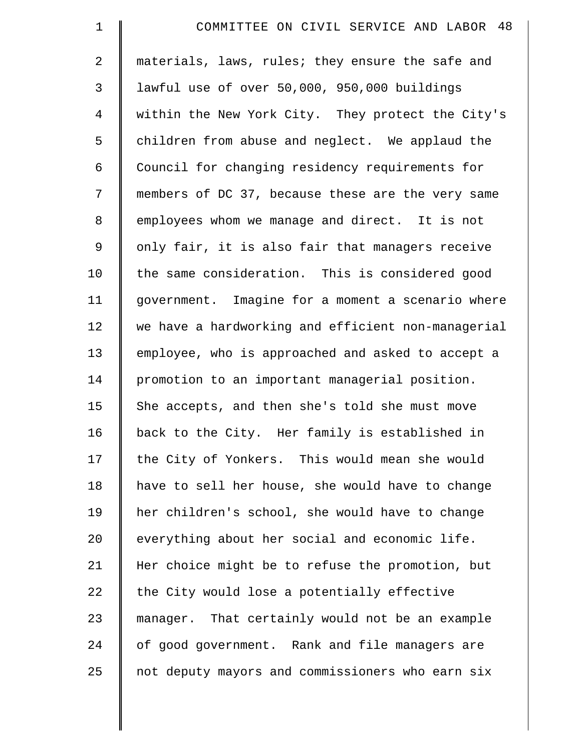| $\mathbf 1$ | COMMITTEE ON CIVIL SERVICE AND LABOR 48            |
|-------------|----------------------------------------------------|
| 2           | materials, laws, rules; they ensure the safe and   |
| 3           | lawful use of over 50,000, 950,000 buildings       |
| 4           | within the New York City. They protect the City's  |
| 5           | children from abuse and neglect. We applaud the    |
| 6           | Council for changing residency requirements for    |
| 7           | members of DC 37, because these are the very same  |
| 8           | employees whom we manage and direct. It is not     |
| $\mathsf 9$ | only fair, it is also fair that managers receive   |
| 10          | the same consideration. This is considered good    |
| 11          | government. Imagine for a moment a scenario where  |
| 12          | we have a hardworking and efficient non-managerial |
| 13          | employee, who is approached and asked to accept a  |
| 14          | promotion to an important managerial position.     |
| 15          | She accepts, and then she's told she must move     |
| 16          | back to the City. Her family is established in     |
| 17          | the City of Yonkers. This would mean she would     |
| 18          | have to sell her house, she would have to change   |
| 19          | her children's school, she would have to change    |
| 20          | everything about her social and economic life.     |
| 21          | Her choice might be to refuse the promotion, but   |
| 22          | the City would lose a potentially effective        |
| 23          | manager. That certainly would not be an example    |
| 24          | of good government. Rank and file managers are     |
| 25          | not deputy mayors and commissioners who earn six   |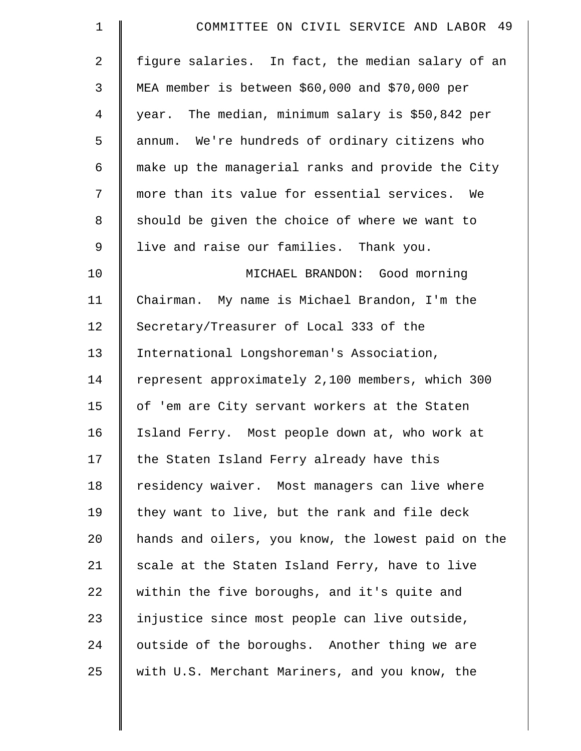| $\mathbf 1$ | COMMITTEE ON CIVIL SERVICE AND LABOR 49            |
|-------------|----------------------------------------------------|
| 2           | figure salaries. In fact, the median salary of an  |
| 3           | MEA member is between \$60,000 and \$70,000 per    |
| 4           | year. The median, minimum salary is \$50,842 per   |
| 5           | annum. We're hundreds of ordinary citizens who     |
| 6           | make up the managerial ranks and provide the City  |
| 7           | more than its value for essential services. We     |
| 8           | should be given the choice of where we want to     |
| 9           | live and raise our families. Thank you.            |
| 10          | MICHAEL BRANDON: Good morning                      |
| 11          | Chairman. My name is Michael Brandon, I'm the      |
| 12          | Secretary/Treasurer of Local 333 of the            |
| 13          | International Longshoreman's Association,          |
| 14          | represent approximately 2,100 members, which 300   |
| 15          | of 'em are City servant workers at the Staten      |
| 16          | Island Ferry. Most people down at, who work at     |
| 17          | the Staten Island Ferry already have this          |
| 18          | residency waiver. Most managers can live where     |
| 19          | they want to live, but the rank and file deck      |
| $20 \,$     | hands and oilers, you know, the lowest paid on the |
| 21          | scale at the Staten Island Ferry, have to live     |
| 22          | within the five boroughs, and it's quite and       |
| 23          | injustice since most people can live outside,      |
| 24          | outside of the boroughs. Another thing we are      |
| 25          | with U.S. Merchant Mariners, and you know, the     |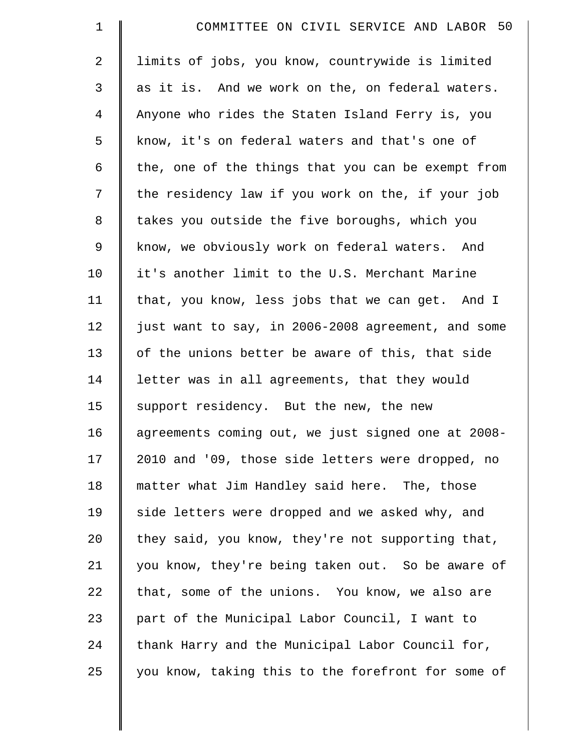| $\mathbf 1$    | COMMITTEE ON CIVIL SERVICE AND LABOR 50            |
|----------------|----------------------------------------------------|
| $\overline{a}$ | limits of jobs, you know, countrywide is limited   |
| 3              | as it is. And we work on the, on federal waters.   |
| $\overline{4}$ | Anyone who rides the Staten Island Ferry is, you   |
| 5              | know, it's on federal waters and that's one of     |
| 6              | the, one of the things that you can be exempt from |
| 7              | the residency law if you work on the, if your job  |
| 8              | takes you outside the five boroughs, which you     |
| 9              | know, we obviously work on federal waters. And     |
| 10             | it's another limit to the U.S. Merchant Marine     |
| 11             | that, you know, less jobs that we can get. And I   |
| 12             | just want to say, in 2006-2008 agreement, and some |
| 13             | of the unions better be aware of this, that side   |
| 14             | letter was in all agreements, that they would      |
| 15             | support residency. But the new, the new            |
| 16             | agreements coming out, we just signed one at 2008- |
| 17             | 2010 and '09, those side letters were dropped, no  |
| 18             | matter what Jim Handley said here. The, those      |
| 19             | side letters were dropped and we asked why, and    |
| 20             | they said, you know, they're not supporting that,  |
| 21             | you know, they're being taken out. So be aware of  |
| 22             | that, some of the unions. You know, we also are    |
| 23             | part of the Municipal Labor Council, I want to     |
| 24             | thank Harry and the Municipal Labor Council for,   |
| 25             | you know, taking this to the forefront for some of |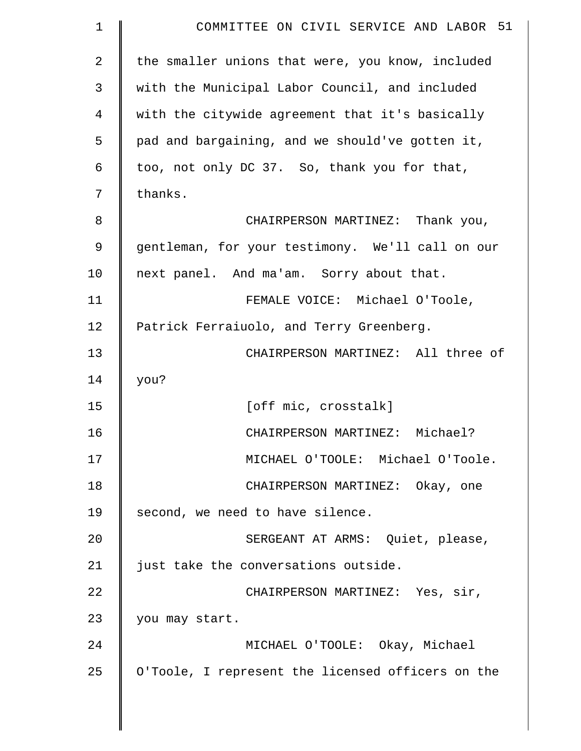| $\mathbf 1$    | COMMITTEE ON CIVIL SERVICE AND LABOR 51           |
|----------------|---------------------------------------------------|
| $\overline{2}$ | the smaller unions that were, you know, included  |
| 3              | with the Municipal Labor Council, and included    |
| 4              | with the citywide agreement that it's basically   |
| 5              | pad and bargaining, and we should've gotten it,   |
| 6              | too, not only DC 37. So, thank you for that,      |
| 7              | thanks.                                           |
| 8              | CHAIRPERSON MARTINEZ: Thank you,                  |
| 9              | gentleman, for your testimony. We'll call on our  |
| 10             | next panel. And ma'am. Sorry about that.          |
| 11             | FEMALE VOICE: Michael O'Toole,                    |
| 12             | Patrick Ferraiuolo, and Terry Greenberg.          |
| 13             | CHAIRPERSON MARTINEZ: All three of                |
| 14             | you?                                              |
| 15             | [off mic, crosstalk]                              |
| 16             | CHAIRPERSON MARTINEZ: Michael?                    |
| 17             | MICHAEL O'TOOLE: Michael O'Toole.                 |
| 18             | CHAIRPERSON MARTINEZ: Okay, one                   |
| 19             | second, we need to have silence.                  |
| 20             | SERGEANT AT ARMS: Quiet, please,                  |
| 21             | just take the conversations outside.              |
| 22             | CHAIRPERSON MARTINEZ: Yes, sir,                   |
| 23             | you may start.                                    |
| 24             | MICHAEL O'TOOLE: Okay, Michael                    |
| 25             | O'Toole, I represent the licensed officers on the |
|                |                                                   |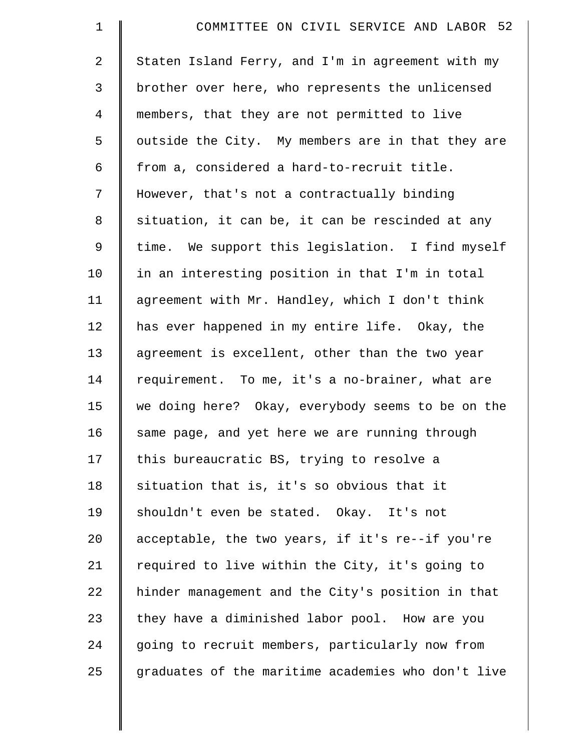| $\mathbf 1$    | COMMITTEE ON CIVIL SERVICE AND LABOR 52            |
|----------------|----------------------------------------------------|
| $\overline{a}$ | Staten Island Ferry, and I'm in agreement with my  |
| 3              | brother over here, who represents the unlicensed   |
| $\overline{4}$ | members, that they are not permitted to live       |
| 5              | outside the City. My members are in that they are  |
| 6              | from a, considered a hard-to-recruit title.        |
| 7              | However, that's not a contractually binding        |
| 8              | situation, it can be, it can be rescinded at any   |
| 9              | time. We support this legislation. I find myself   |
| 10             | in an interesting position in that I'm in total    |
| 11             | agreement with Mr. Handley, which I don't think    |
| 12             | has ever happened in my entire life. Okay, the     |
| 13             | agreement is excellent, other than the two year    |
| 14             | requirement. To me, it's a no-brainer, what are    |
| 15             | we doing here? Okay, everybody seems to be on the  |
| 16             | same page, and yet here we are running through     |
| 17             | this bureaucratic BS, trying to resolve a          |
| 18             | situation that is, it's so obvious that it         |
| 19             | shouldn't even be stated. Okay. It's not           |
| 20             | acceptable, the two years, if it's re--if you're   |
| 21             | required to live within the City, it's going to    |
| 22             | hinder management and the City's position in that  |
| 23             | they have a diminished labor pool. How are you     |
| 24             | going to recruit members, particularly now from    |
| 25             | graduates of the maritime academies who don't live |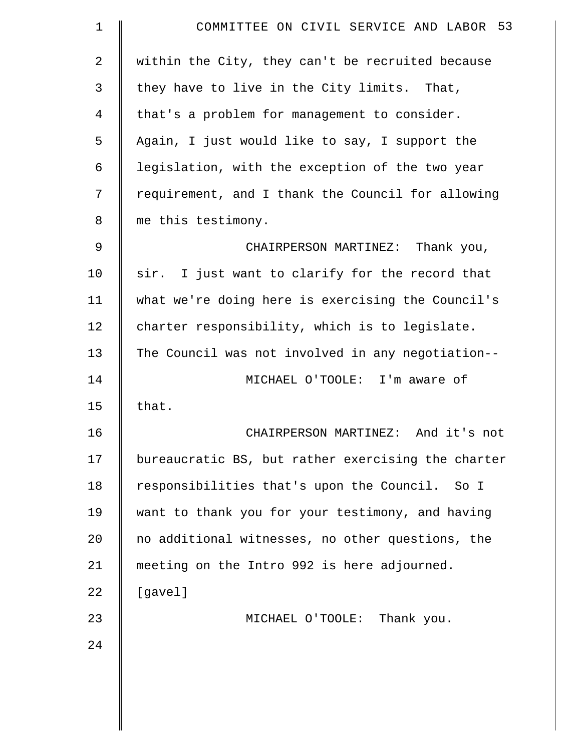| $\mathbf 1$    | COMMITTEE ON CIVIL SERVICE AND LABOR 53            |
|----------------|----------------------------------------------------|
| $\overline{2}$ | within the City, they can't be recruited because   |
| 3              | they have to live in the City limits. That,        |
| 4              | that's a problem for management to consider.       |
| 5              | Again, I just would like to say, I support the     |
| 6              | legislation, with the exception of the two year    |
| 7              | requirement, and I thank the Council for allowing  |
| 8              | me this testimony.                                 |
| 9              | CHAIRPERSON MARTINEZ: Thank you,                   |
| 10             | sir. I just want to clarify for the record that    |
| 11             | what we're doing here is exercising the Council's  |
| 12             | charter responsibility, which is to legislate.     |
| 13             | The Council was not involved in any negotiation--  |
| 14             | MICHAEL O'TOOLE: I'm aware of                      |
| 15             | that.                                              |
| 16             | CHAIRPERSON MARTINEZ: And it's not                 |
| 17             | bureaucratic BS, but rather exercising the charter |
| 18             | responsibilities that's upon the Council.<br>So I  |
| 19             | want to thank you for your testimony, and having   |
| 20             | no additional witnesses, no other questions, the   |
| 21             | meeting on the Intro 992 is here adjourned.        |
| 22             | [gavel]                                            |
| 23             | MICHAEL O'TOOLE: Thank you.                        |
| 24             |                                                    |
|                |                                                    |
|                |                                                    |
|                |                                                    |